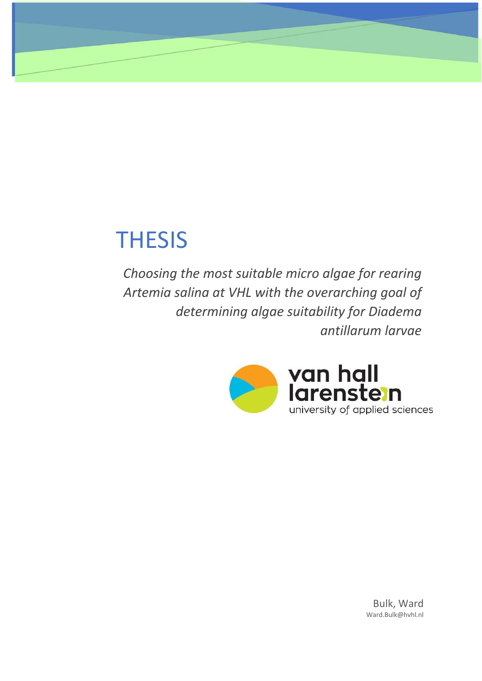# **THESIS**

*Choosing the most suitable micro algae for rearing Artemia salina at VHL with the overarching goal of determining algae suitability for Diadema antillarum larvae*



Bulk, Ward Ward.Bulk@hvhl.nl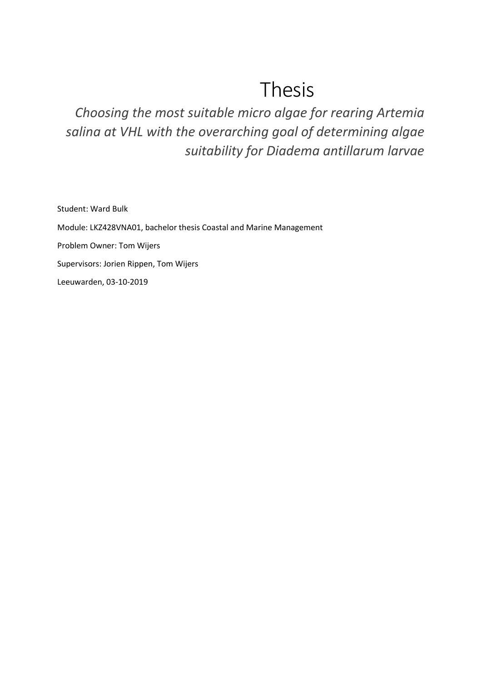# Thesis

*Choosing the most suitable micro algae for rearing Artemia salina at VHL with the overarching goal of determining algae suitability for Diadema antillarum larvae*

Student: Ward Bulk Module: LKZ428VNA01, bachelor thesis Coastal and Marine Management Problem Owner: Tom Wijers Supervisors: Jorien Rippen, Tom Wijers Leeuwarden, 03-10-2019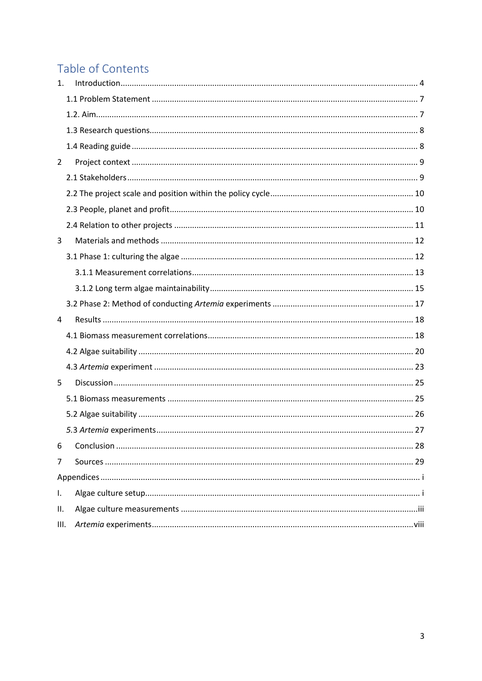# Table of Contents

| $\mathbf{1}$ . |  |  |  |  |  |  |
|----------------|--|--|--|--|--|--|
|                |  |  |  |  |  |  |
|                |  |  |  |  |  |  |
|                |  |  |  |  |  |  |
|                |  |  |  |  |  |  |
| $\overline{2}$ |  |  |  |  |  |  |
|                |  |  |  |  |  |  |
|                |  |  |  |  |  |  |
|                |  |  |  |  |  |  |
|                |  |  |  |  |  |  |
| 3              |  |  |  |  |  |  |
|                |  |  |  |  |  |  |
|                |  |  |  |  |  |  |
|                |  |  |  |  |  |  |
|                |  |  |  |  |  |  |
| 4              |  |  |  |  |  |  |
|                |  |  |  |  |  |  |
|                |  |  |  |  |  |  |
|                |  |  |  |  |  |  |
| 5              |  |  |  |  |  |  |
|                |  |  |  |  |  |  |
|                |  |  |  |  |  |  |
|                |  |  |  |  |  |  |
| 6              |  |  |  |  |  |  |
| 7              |  |  |  |  |  |  |
|                |  |  |  |  |  |  |
| I.             |  |  |  |  |  |  |
| Ш.             |  |  |  |  |  |  |
| III.           |  |  |  |  |  |  |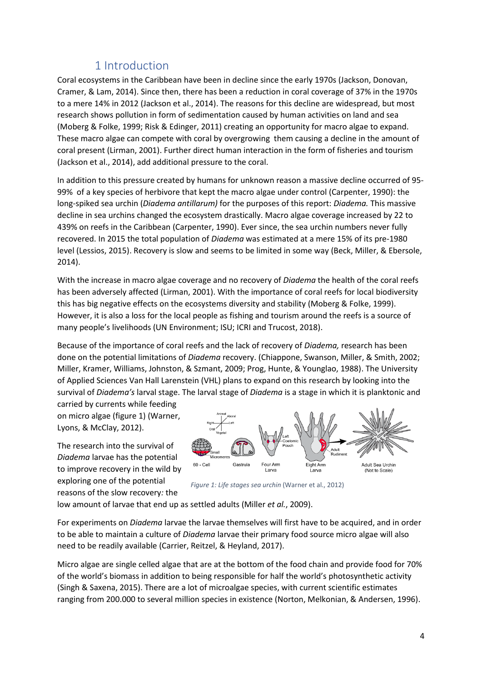# 1 Introduction

<span id="page-3-0"></span>Coral ecosystems in the Caribbean have been in decline since the early 1970s (Jackson, Donovan, Cramer, & Lam, 2014). Since then, there has been a reduction in coral coverage of 37% in the 1970s to a mere 14% in 2012 (Jackson et al., 2014). The reasons for this decline are widespread, but most research shows pollution in form of sedimentation caused by human activities on land and sea (Moberg & Folke, 1999; Risk & Edinger, 2011) creating an opportunity for macro algae to expand. These macro algae can compete with coral by overgrowing them causing a decline in the amount of coral present (Lirman, 2001). Further direct human interaction in the form of fisheries and tourism (Jackson et al., 2014), add additional pressure to the coral.

In addition to this pressure created by humans for unknown reason a massive decline occurred of 95- 99% of a key species of herbivore that kept the macro algae under control (Carpenter, 1990): the long-spiked sea urchin (*Diadema antillarum)* for the purposes of this report: *Diadema.* This massive decline in sea urchins changed the ecosystem drastically. Macro algae coverage increased by 22 to 439% on reefs in the Caribbean (Carpenter, 1990). Ever since, the sea urchin numbers never fully recovered. In 2015 the total population of *Diadema* was estimated at a mere 15% of its pre-1980 level (Lessios, 2015). Recovery is slow and seems to be limited in some way (Beck, Miller, & Ebersole, 2014).

With the increase in macro algae coverage and no recovery of *Diadema* the health of the coral reefs has been adversely affected (Lirman, 2001). With the importance of coral reefs for local biodiversity this has big negative effects on the ecosystems diversity and stability (Moberg & Folke, 1999). However, it is also a loss for the local people as fishing and tourism around the reefs is a source of many people's livelihoods (UN Environment; ISU; ICRI and Trucost, 2018).

Because of the importance of coral reefs and the lack of recovery of *Diadema,* research has been done on the potential limitations of *Diadema* recovery. (Chiappone, Swanson, Miller, & Smith, 2002; Miller, Kramer, Williams, Johnston, & Szmant, 2009; Prog, Hunte, & Younglao, 1988). The University of Applied Sciences Van Hall Larenstein (VHL) plans to expand on this research by looking into the survival of *Diadema's* larval stage. The larval stage of *Diadema* is a stage in which it is planktonic and

carried by currents while feeding on micro algae (figure 1) (Warner, Lyons, & McClay, 2012).

The research into the survival of *Diadema* larvae has the potential to improve recovery in the wild by exploring one of the potential reasons of the slow recovery*:* the



*Figure 1: Life stages sea urchin* (Warner et al., 2012)

low amount of larvae that end up as settled adults (Miller *et al.*, 2009).

For experiments on *Diadema* larvae the larvae themselves will first have to be acquired, and in order to be able to maintain a culture of *Diadema* larvae their primary food source micro algae will also need to be readily available (Carrier, Reitzel, & Heyland, 2017).

Micro algae are single celled algae that are at the bottom of the food chain and provide food for 70% of the world's biomass in addition to being responsible for half the world's photosynthetic activity (Singh & Saxena, 2015). There are a lot of microalgae species, with current scientific estimates ranging from 200.000 to several million species in existence (Norton, Melkonian, & Andersen, 1996).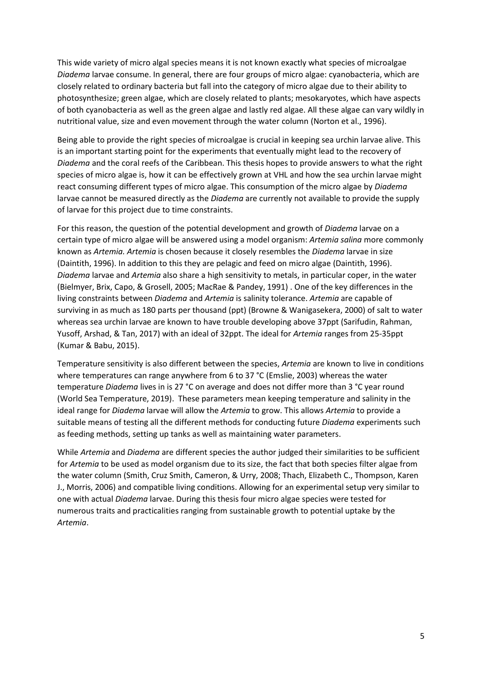This wide variety of micro algal species means it is not known exactly what species of microalgae *Diadema* larvae consume. In general, there are four groups of micro algae: cyanobacteria, which are closely related to ordinary bacteria but fall into the category of micro algae due to their ability to photosynthesize; green algae, which are closely related to plants; mesokaryotes, which have aspects of both cyanobacteria as well as the green algae and lastly red algae. All these algae can vary wildly in nutritional value, size and even movement through the water column (Norton et al., 1996).

Being able to provide the right species of microalgae is crucial in keeping sea urchin larvae alive. This is an important starting point for the experiments that eventually might lead to the recovery of *Diadema* and the coral reefs of the Caribbean. This thesis hopes to provide answers to what the right species of micro algae is, how it can be effectively grown at VHL and how the sea urchin larvae might react consuming different types of micro algae. This consumption of the micro algae by *Diadema* larvae cannot be measured directly as the *Diadema* are currently not available to provide the supply of larvae for this project due to time constraints.

For this reason, the question of the potential development and growth of *Diadema* larvae on a certain type of micro algae will be answered using a model organism: *Artemia salina* more commonly known as *Artemia. Artemia* is chosen because it closely resembles the *Diadema* larvae in size (Daintith, 1996). In addition to this they are pelagic and feed on micro algae (Daintith, 1996). *Diadema* larvae and *Artemia* also share a high sensitivity to metals, in particular coper, in the water (Bielmyer, Brix, Capo, & Grosell, 2005; MacRae & Pandey, 1991) . One of the key differences in the living constraints between *Diadema* and *Artemia* is salinity tolerance. *Artemia* are capable of surviving in as much as 180 parts per thousand (ppt) (Browne & Wanigasekera, 2000) of salt to water whereas sea urchin larvae are known to have trouble developing above 37ppt (Sarifudin, Rahman, Yusoff, Arshad, & Tan, 2017) with an ideal of 32ppt. The ideal for *Artemia* ranges from 25-35ppt (Kumar & Babu, 2015).

Temperature sensitivity is also different between the species, *Artemia* are known to live in conditions where temperatures can range anywhere from 6 to 37 °C (Emslie, 2003) whereas the water temperature *Diadema* lives in is 27 °C on average and does not differ more than 3 °C year round (World Sea Temperature, 2019). These parameters mean keeping temperature and salinity in the ideal range for *Diadema* larvae will allow the *Artemia* to grow. This allows *Artemia* to provide a suitable means of testing all the different methods for conducting future *Diadema* experiments such as feeding methods, setting up tanks as well as maintaining water parameters.

While *Artemia* and *Diadema* are different species the author judged their similarities to be sufficient for *Artemia* to be used as model organism due to its size, the fact that both species filter algae from the water column (Smith, Cruz Smith, Cameron, & Urry, 2008; Thach, Elizabeth C., Thompson, Karen J., Morris, 2006) and compatible living conditions. Allowing for an experimental setup very similar to one with actual *Diadema* larvae. During this thesis four micro algae species were tested for numerous traits and practicalities ranging from sustainable growth to potential uptake by the *Artemia*.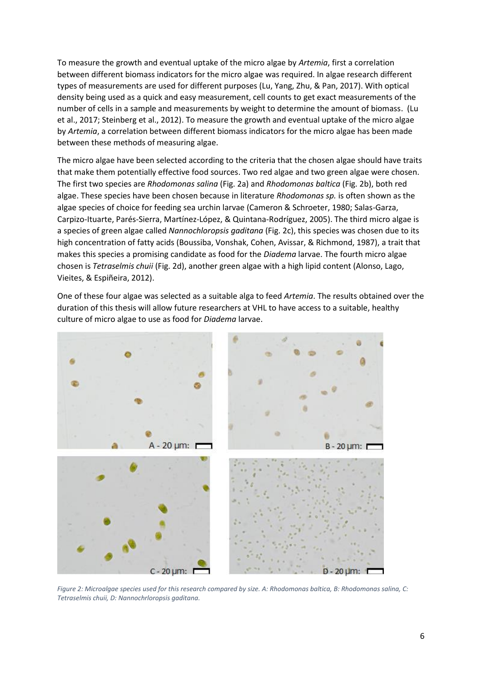To measure the growth and eventual uptake of the micro algae by *Artemia*, first a correlation between different biomass indicators for the micro algae was required. In algae research different types of measurements are used for different purposes (Lu, Yang, Zhu, & Pan, 2017). With optical density being used as a quick and easy measurement, cell counts to get exact measurements of the number of cells in a sample and measurements by weight to determine the amount of biomass. (Lu et al., 2017; Steinberg et al., 2012). To measure the growth and eventual uptake of the micro algae by *Artemia*, a correlation between different biomass indicators for the micro algae has been made between these methods of measuring algae.

The micro algae have been selected according to the criteria that the chosen algae should have traits that make them potentially effective food sources. Two red algae and two green algae were chosen. The first two species are *Rhodomonas salina* (Fig. 2a) and *Rhodomonas baltica* (Fig. 2b), both red algae. These species have been chosen because in literature *Rhodomonas sp.* is often shown as the algae species of choice for feeding sea urchin larvae (Cameron & Schroeter, 1980; Salas-Garza, Carpizo-Ituarte, Parés-Sierra, Martínez-López, & Quintana-Rodríguez, 2005). The third micro algae is a species of green algae called *Nannochloropsis gaditana* (Fig. 2c), this species was chosen due to its high concentration of fatty acids (Boussiba, Vonshak, Cohen, Avissar, & Richmond, 1987), a trait that makes this species a promising candidate as food for the *Diadema* larvae. The fourth micro algae chosen is *Tetraselmis chuii* (Fig. 2d), another green algae with a high lipid content (Alonso, Lago, Vieites, & Espiñeira, 2012).

One of these four algae was selected as a suitable alga to feed *Artemia*. The results obtained over the duration of this thesis will allow future researchers at VHL to have access to a suitable, healthy culture of micro algae to use as food for *Diadema* larvae.



*Figure 2: Microalgae species used for this research compared by size. A: Rhodomonas baltica, B: Rhodomonas salina, C: Tetraselmis chuii, D: Nannochrloropsis gaditana.*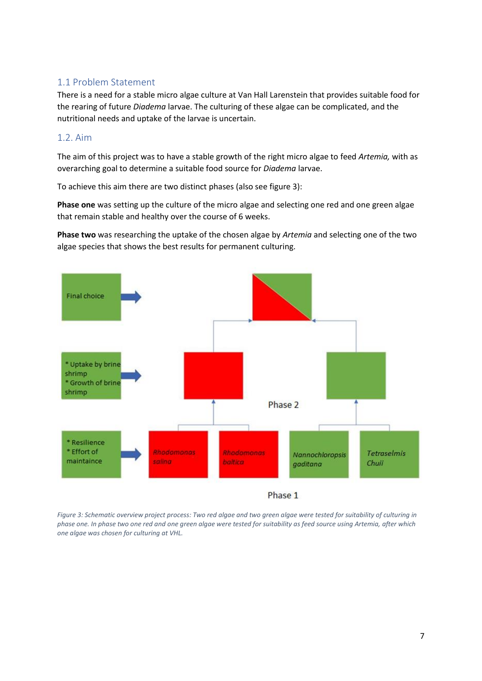## <span id="page-6-0"></span>1.1 Problem Statement

There is a need for a stable micro algae culture at Van Hall Larenstein that provides suitable food for the rearing of future *Diadema* larvae. The culturing of these algae can be complicated, and the nutritional needs and uptake of the larvae is uncertain.

## <span id="page-6-1"></span>1.2. Aim

The aim of this project was to have a stable growth of the right micro algae to feed *Artemia,* with as overarching goal to determine a suitable food source for *Diadema* larvae.

To achieve this aim there are two distinct phases (also see figure 3):

**Phase one** was setting up the culture of the micro algae and selecting one red and one green algae that remain stable and healthy over the course of 6 weeks.

**Phase two** was researching the uptake of the chosen algae by *Artemia* and selecting one of the two algae species that shows the best results for permanent culturing.



*Figure 3: Schematic overview project process: Two red algae and two green algae were tested for suitability of culturing in phase one. In phase two one red and one green algae were tested for suitability as feed source using Artemia, after which one algae was chosen for culturing at VHL.*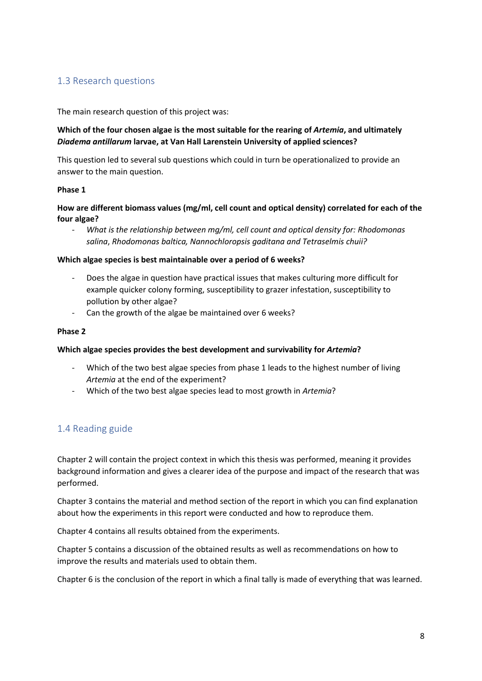## <span id="page-7-0"></span>1.3 Research questions

The main research question of this project was:

### **Which of the four chosen algae is the most suitable for the rearing of** *Artemia***, and ultimately**  *Diadema antillarum* **larvae, at Van Hall Larenstein University of applied sciences?**

This question led to several sub questions which could in turn be operationalized to provide an answer to the main question.

#### **Phase 1**

#### **How are different biomass values (mg/ml, cell count and optical density) correlated for each of the four algae?**

- *What is the relationship between mg/ml, cell count and optical density for: Rhodomonas salina*, *Rhodomonas baltica, Nannochloropsis gaditana and Tetraselmis chuii?*

#### **Which algae species is best maintainable over a period of 6 weeks?**

- Does the algae in question have practical issues that makes culturing more difficult for example quicker colony forming, susceptibility to grazer infestation, susceptibility to pollution by other algae?
- Can the growth of the algae be maintained over 6 weeks?

#### **Phase 2**

#### **Which algae species provides the best development and survivability for** *Artemia***?**

- Which of the two best algae species from phase 1 leads to the highest number of living *Artemia* at the end of the experiment?
- Which of the two best algae species lead to most growth in *Artemia*?

## <span id="page-7-1"></span>1.4 Reading guide

Chapter 2 will contain the project context in which this thesis was performed, meaning it provides background information and gives a clearer idea of the purpose and impact of the research that was performed.

Chapter 3 contains the material and method section of the report in which you can find explanation about how the experiments in this report were conducted and how to reproduce them.

Chapter 4 contains all results obtained from the experiments.

Chapter 5 contains a discussion of the obtained results as well as recommendations on how to improve the results and materials used to obtain them.

Chapter 6 is the conclusion of the report in which a final tally is made of everything that was learned.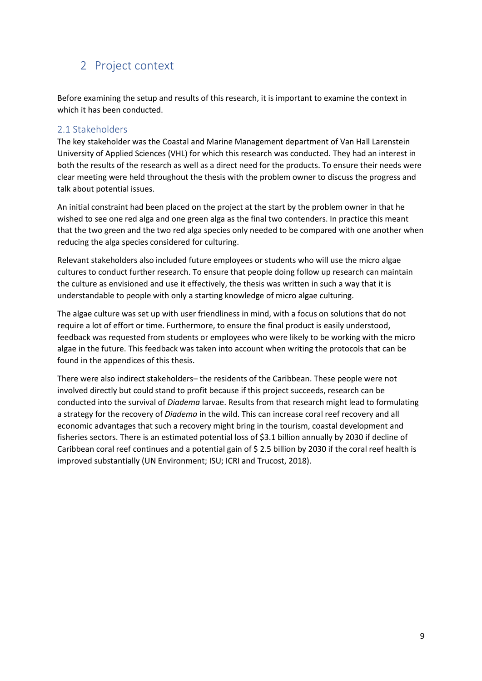# <span id="page-8-0"></span>2 Project context

Before examining the setup and results of this research, it is important to examine the context in which it has been conducted.

## <span id="page-8-1"></span>2.1 Stakeholders

The key stakeholder was the Coastal and Marine Management department of Van Hall Larenstein University of Applied Sciences (VHL) for which this research was conducted. They had an interest in both the results of the research as well as a direct need for the products. To ensure their needs were clear meeting were held throughout the thesis with the problem owner to discuss the progress and talk about potential issues.

An initial constraint had been placed on the project at the start by the problem owner in that he wished to see one red alga and one green alga as the final two contenders. In practice this meant that the two green and the two red alga species only needed to be compared with one another when reducing the alga species considered for culturing.

Relevant stakeholders also included future employees or students who will use the micro algae cultures to conduct further research. To ensure that people doing follow up research can maintain the culture as envisioned and use it effectively, the thesis was written in such a way that it is understandable to people with only a starting knowledge of micro algae culturing.

The algae culture was set up with user friendliness in mind, with a focus on solutions that do not require a lot of effort or time. Furthermore, to ensure the final product is easily understood, feedback was requested from students or employees who were likely to be working with the micro algae in the future. This feedback was taken into account when writing the protocols that can be found in the appendices of this thesis.

There were also indirect stakeholders– the residents of the Caribbean. These people were not involved directly but could stand to profit because if this project succeeds, research can be conducted into the survival of *Diadema* larvae. Results from that research might lead to formulating a strategy for the recovery of *Diadema* in the wild. This can increase coral reef recovery and all economic advantages that such a recovery might bring in the tourism, coastal development and fisheries sectors. There is an estimated potential loss of \$3.1 billion annually by 2030 if decline of Caribbean coral reef continues and a potential gain of \$ 2.5 billion by 2030 if the coral reef health is improved substantially (UN Environment; ISU; ICRI and Trucost, 2018).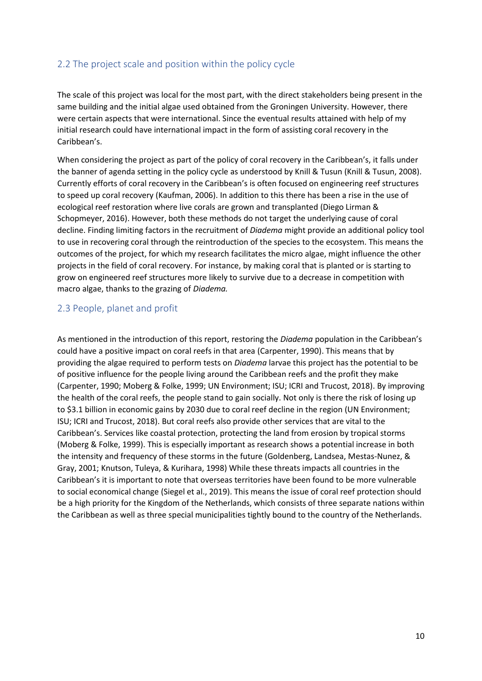## <span id="page-9-0"></span>2.2 The project scale and position within the policy cycle

The scale of this project was local for the most part, with the direct stakeholders being present in the same building and the initial algae used obtained from the Groningen University. However, there were certain aspects that were international. Since the eventual results attained with help of my initial research could have international impact in the form of assisting coral recovery in the Caribbean's.

When considering the project as part of the policy of coral recovery in the Caribbean's, it falls under the banner of agenda setting in the policy cycle as understood by Knill & Tusun (Knill & Tusun, 2008). Currently efforts of coral recovery in the Caribbean's is often focused on engineering reef structures to speed up coral recovery (Kaufman, 2006). In addition to this there has been a rise in the use of ecological reef restoration where live corals are grown and transplanted (Diego Lirman & Schopmeyer, 2016). However, both these methods do not target the underlying cause of coral decline. Finding limiting factors in the recruitment of *Diadema* might provide an additional policy tool to use in recovering coral through the reintroduction of the species to the ecosystem. This means the outcomes of the project, for which my research facilitates the micro algae, might influence the other projects in the field of coral recovery. For instance, by making coral that is planted or is starting to grow on engineered reef structures more likely to survive due to a decrease in competition with macro algae, thanks to the grazing of *Diadema.*

### <span id="page-9-1"></span>2.3 People, planet and profit

As mentioned in the introduction of this report, restoring the *Diadema* population in the Caribbean's could have a positive impact on coral reefs in that area (Carpenter, 1990). This means that by providing the algae required to perform tests on *Diadema* larvae this project has the potential to be of positive influence for the people living around the Caribbean reefs and the profit they make (Carpenter, 1990; Moberg & Folke, 1999; UN Environment; ISU; ICRI and Trucost, 2018). By improving the health of the coral reefs, the people stand to gain socially. Not only is there the risk of losing up to \$3.1 billion in economic gains by 2030 due to coral reef decline in the region (UN Environment; ISU; ICRI and Trucost, 2018). But coral reefs also provide other services that are vital to the Caribbean's. Services like coastal protection, protecting the land from erosion by tropical storms (Moberg & Folke, 1999). This is especially important as research shows a potential increase in both the intensity and frequency of these storms in the future (Goldenberg, Landsea, Mestas-Nunez, & Gray, 2001; Knutson, Tuleya, & Kurihara, 1998) While these threats impacts all countries in the Caribbean's it is important to note that overseas territories have been found to be more vulnerable to social economical change (Siegel et al., 2019). This means the issue of coral reef protection should be a high priority for the Kingdom of the Netherlands, which consists of three separate nations within the Caribbean as well as three special municipalities tightly bound to the country of the Netherlands.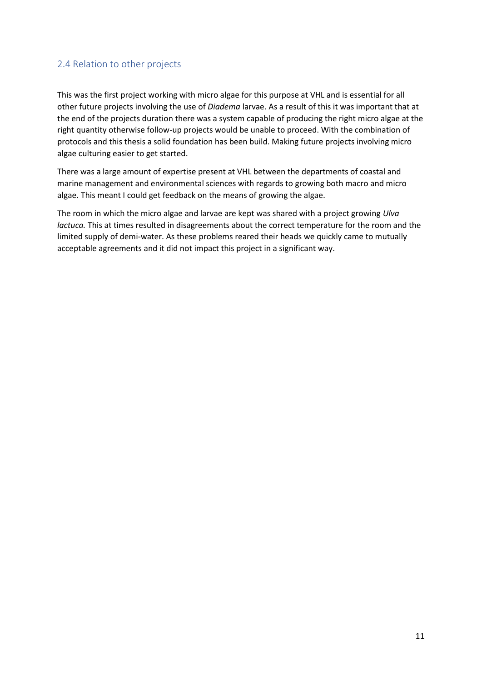## <span id="page-10-0"></span>2.4 Relation to other projects

This was the first project working with micro algae for this purpose at VHL and is essential for all other future projects involving the use of *Diadema* larvae. As a result of this it was important that at the end of the projects duration there was a system capable of producing the right micro algae at the right quantity otherwise follow-up projects would be unable to proceed. With the combination of protocols and this thesis a solid foundation has been build. Making future projects involving micro algae culturing easier to get started.

There was a large amount of expertise present at VHL between the departments of coastal and marine management and environmental sciences with regards to growing both macro and micro algae. This meant I could get feedback on the means of growing the algae.

The room in which the micro algae and larvae are kept was shared with a project growing *Ulva lactuca.* This at times resulted in disagreements about the correct temperature for the room and the limited supply of demi-water. As these problems reared their heads we quickly came to mutually acceptable agreements and it did not impact this project in a significant way.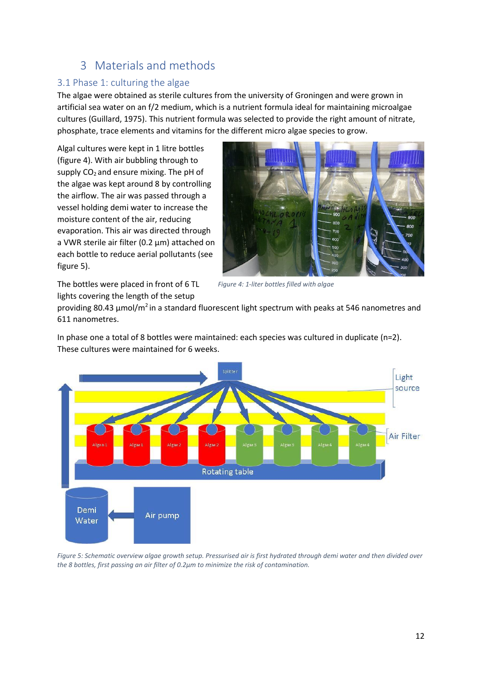# 3 Materials and methods

## <span id="page-11-1"></span><span id="page-11-0"></span>3.1 Phase 1: culturing the algae

The algae were obtained as sterile cultures from the university of Groningen and were grown in artificial sea water on an f/2 medium, which is a nutrient formula ideal for maintaining microalgae cultures (Guillard, 1975). This nutrient formula was selected to provide the right amount of nitrate, phosphate, trace elements and vitamins for the different micro algae species to grow.

Algal cultures were kept in 1 litre bottles (figure 4). With air bubbling through to supply  $CO<sub>2</sub>$  and ensure mixing. The pH of the algae was kept around 8 by controlling the airflow. The air was passed through a vessel holding demi water to increase the moisture content of the air, reducing evaporation. This air was directed through a VWR sterile air filter (0.2 µm) attached on each bottle to reduce aerial pollutants (see figure 5).



The bottles were placed in front of 6 TL lights covering the length of the setup

*Figure 4: 1-liter bottles filled with algae*

providing 80.43 µmol/m<sup>2</sup> in a standard fluorescent light spectrum with peaks at 546 nanometres and 611 nanometres.

In phase one a total of 8 bottles were maintained: each species was cultured in duplicate (n=2). These cultures were maintained for 6 weeks.



*Figure 5: Schematic overview algae growth setup. Pressurised air is first hydrated through demi water and then divided over the 8 bottles, first passing an air filter of 0.2µm to minimize the risk of contamination.*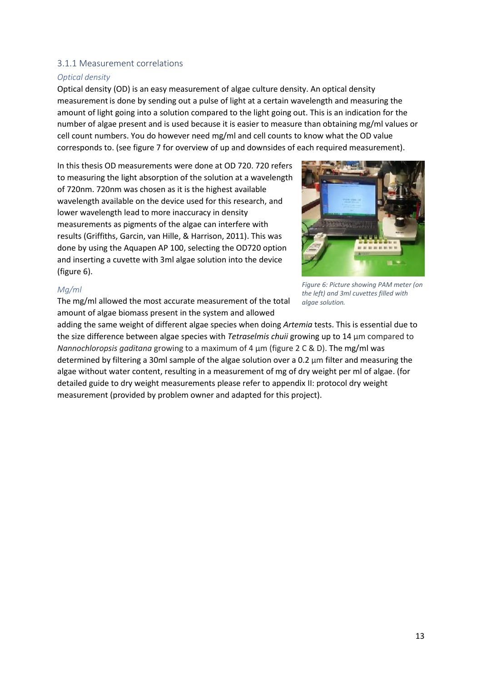#### <span id="page-12-0"></span>3.1.1 Measurement correlations

#### *Optical density*

Optical density (OD) is an easy measurement of algae culture density. An optical density measurementis done by sending out a pulse of light at a certain wavelength and measuring the amount of light going into a solution compared to the light going out. This is an indication for the number of algae present and is used because it is easier to measure than obtaining mg/ml values or cell count numbers. You do however need mg/ml and cell counts to know what the OD value corresponds to. (see figure 7 for overview of up and downsides of each required measurement).

In this thesis OD measurements were done at OD 720. 720 refers to measuring the light absorption of the solution at a wavelength of 720nm. 720nm was chosen as it is the highest available wavelength available on the device used for this research, and lower wavelength lead to more inaccuracy in density measurements as pigments of the algae can interfere with results (Griffiths, Garcin, van Hille, & Harrison, 2011). This was done by using the Aquapen AP 100, selecting the OD720 option and inserting a cuvette with 3ml algae solution into the device (figure 6).



#### *Mg/ml*

The mg/ml allowed the most accurate measurement of the total amount of algae biomass present in the system and allowed

*Figure 6: Picture showing PAM meter (on the left) and 3ml cuvettes filled with algae solution.*

adding the same weight of different algae species when doing *Artemia* tests. This is essential due to the size difference between algae species with *Tetraselmis chuii* growing up to 14 μm compared to *Nannochloropsis gaditana* growing to a maximum of 4 μm (figure 2 C & D). The mg/ml was determined by filtering a 30ml sample of the algae solution over a 0.2 μm filter and measuring the algae without water content, resulting in a measurement of mg of dry weight per ml of algae. (for detailed guide to dry weight measurements please refer to appendix II: protocol dry weight measurement (provided by problem owner and adapted for this project).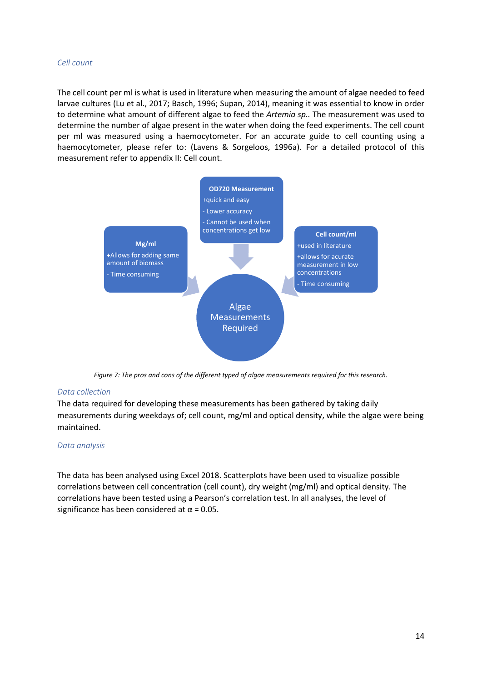#### *Cell count*

The cell count per ml is what is used in literature when measuring the amount of algae needed to feed larvae cultures (Lu et al., 2017; Basch, 1996; Supan, 2014), meaning it was essential to know in order to determine what amount of different algae to feed the *Artemia sp..* The measurement was used to determine the number of algae present in the water when doing the feed experiments. The cell count per ml was measured using a haemocytometer. For an accurate guide to cell counting using a haemocytometer, please refer to: (Lavens & Sorgeloos, 1996a). For a detailed protocol of this measurement refer to appendix II: Cell count.



*Figure 7: The pros and cons of the different typed of algae measurements required for this research.*

#### *Data collection*

The data required for developing these measurements has been gathered by taking daily measurements during weekdays of; cell count, mg/ml and optical density, while the algae were being maintained.

#### *Data analysis*

The data has been analysed using Excel 2018. Scatterplots have been used to visualize possible correlations between cell concentration (cell count), dry weight (mg/ml) and optical density. The correlations have been tested using a Pearson's correlation test. In all analyses, the level of significance has been considered at  $\alpha$  = 0.05.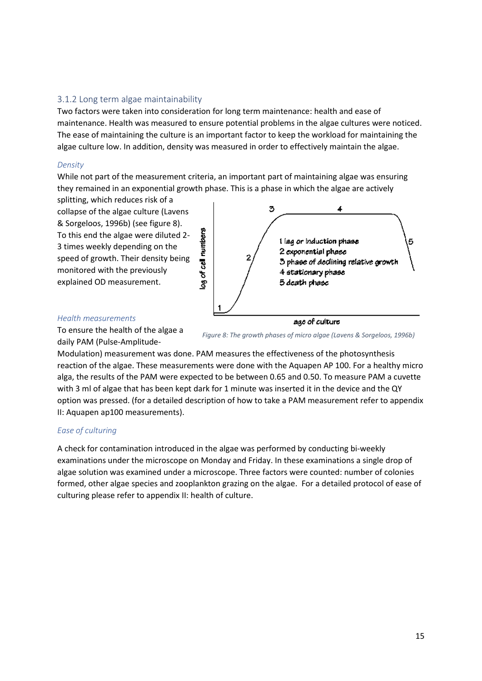#### <span id="page-14-0"></span>3.1.2 Long term algae maintainability

Two factors were taken into consideration for long term maintenance: health and ease of maintenance. Health was measured to ensure potential problems in the algae cultures were noticed. The ease of maintaining the culture is an important factor to keep the workload for maintaining the algae culture low. In addition, density was measured in order to effectively maintain the algae.

#### *Density*

While not part of the measurement criteria, an important part of maintaining algae was ensuring they remained in an exponential growth phase. This is a phase in which the algae are actively

splitting, which reduces risk of a collapse of the algae culture (Lavens & Sorgeloos, 1996b) (see figure 8). To this end the algae were diluted 2- 3 times weekly depending on the speed of growth. Their density being monitored with the previously explained OD measurement.



#### *Health measurements*

To ensure the health of the algae a daily PAM (Pulse-Amplitude-

*Figure 8: The growth phases of micro algae (Lavens & Sorgeloos, 1996b)*

Modulation) measurement was done. PAM measures the effectiveness of the photosynthesis reaction of the algae. These measurements were done with the Aquapen AP 100. For a healthy micro alga, the results of the PAM were expected to be between 0.65 and 0.50. To measure PAM a cuvette with 3 ml of algae that has been kept dark for 1 minute was inserted it in the device and the QY option was pressed. (for a detailed description of how to take a PAM measurement refer to appendix II: Aquapen ap100 measurements).

#### *Ease of culturing*

A check for contamination introduced in the algae was performed by conducting bi-weekly examinations under the microscope on Monday and Friday. In these examinations a single drop of algae solution was examined under a microscope. Three factors were counted: number of colonies formed, other algae species and zooplankton grazing on the algae. For a detailed protocol of ease of culturing please refer to appendix II: health of culture.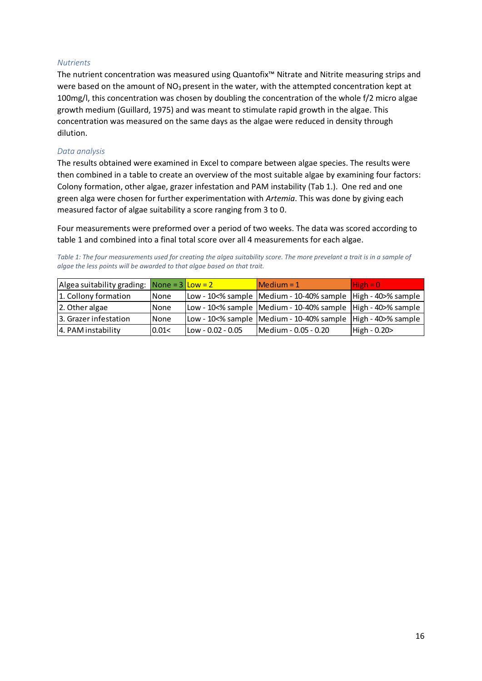#### *Nutrients*

The nutrient concentration was measured using Quantofix™ Nitrate and Nitrite measuring strips and were based on the amount of  $NO<sub>3</sub>$  present in the water, with the attempted concentration kept at 100mg/l, this concentration was chosen by doubling the concentration of the whole f/2 micro algae growth medium (Guillard, 1975) and was meant to stimulate rapid growth in the algae. This concentration was measured on the same days as the algae were reduced in density through dilution.

#### *Data analysis*

The results obtained were examined in Excel to compare between algae species. The results were then combined in a table to create an overview of the most suitable algae by examining four factors: Colony formation, other algae, grazer infestation and PAM instability (Tab 1.). One red and one green alga were chosen for further experimentation with *Artemia*. This was done by giving each measured factor of algae suitability a score ranging from 3 to 0.

Four measurements were preformed over a period of two weeks. The data was scored according to table 1 and combined into a final total score over all 4 measurements for each algae.

*Table 1: The four measurements used for creating the algea suitability score. The more prevelant a trait is in a sample of algae the less points will be awarded to that algae based on that trait.*

| Algea suitability grading: $\sqrt{\frac{1}{10}} = 3 \sqrt{\frac{1}{10}} = 2$ |              |                       | $M$ edium = 1                                                         | $High = 0$   |
|------------------------------------------------------------------------------|--------------|-----------------------|-----------------------------------------------------------------------|--------------|
| 1. Collony formation                                                         | <b>None</b>  |                       | Low - 10<% sample Medium - 10-40% sample   High - 40>% sample         |              |
| 2. Other algae                                                               | <b>INone</b> |                       | Low - 10<% sample   Medium - 10-40% sample   High - 40>% sample       |              |
| 3. Grazer infestation                                                        | <b>None</b>  |                       | $\vert$ Low - 10<% sample  Medium - 10-40% sample  High - 40>% sample |              |
| 4. PAM instability                                                           | 0.01<        | $I$ Low - 0.02 - 0.05 | Medium - 0.05 - 0.20                                                  | High - 0.20> |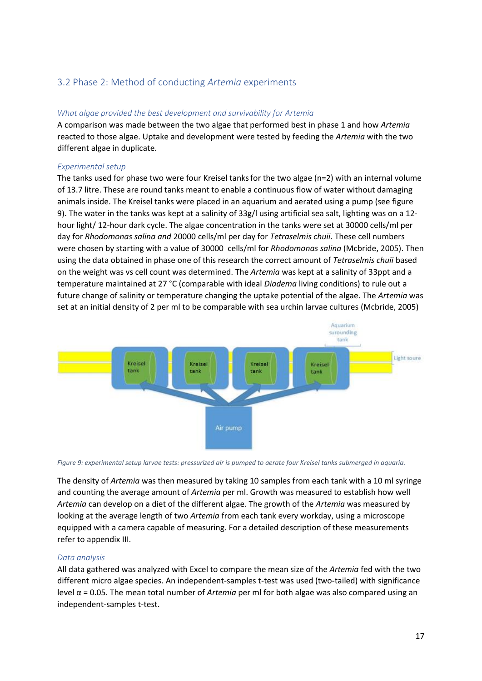## <span id="page-16-0"></span>3.2 Phase 2: Method of conducting *Artemia* experiments

#### *What algae provided the best development and survivability for Artemia*

A comparison was made between the two algae that performed best in phase 1 and how *Artemia* reacted to those algae. Uptake and development were tested by feeding the *Artemia* with the two different algae in duplicate.

#### *Experimental setup*

The tanks used for phase two were four Kreisel tanksfor the two algae (n=2) with an internal volume of 13.7 litre. These are round tanks meant to enable a continuous flow of water without damaging animals inside. The Kreisel tanks were placed in an aquarium and aerated using a pump (see figure 9). The water in the tanks was kept at a salinity of 33g/l using artificial sea salt, lighting was on a 12 hour light/ 12-hour dark cycle. The algae concentration in the tanks were set at 30000 cells/ml per day for *Rhodomonas salina and* 20000 cells/ml per day for *Tetraselmis chuii*. These cell numbers were chosen by starting with a value of 30000 cells/ml for *Rhodomonas salina* (Mcbride, 2005). Then using the data obtained in phase one of this research the correct amount of *Tetraselmis chuii* based on the weight was vs cell count was determined. The *Artemia* was kept at a salinity of 33ppt and a temperature maintained at 27 °C (comparable with ideal *Diadema* living conditions) to rule out a future change of salinity or temperature changing the uptake potential of the algae. The *Artemia* was set at an initial density of 2 per ml to be comparable with sea urchin larvae cultures (Mcbride, 2005)



*Figure 9: experimental setup larvae tests: pressurized air is pumped to aerate four Kreisel tanks submerged in aquaria.*

The density of *Artemia* was then measured by taking 10 samples from each tank with a 10 ml syringe and counting the average amount of *Artemia* per ml. Growth was measured to establish how well *Artemia* can develop on a diet of the different algae. The growth of the *Artemia* was measured by looking at the average length of two *Artemia* from each tank every workday, using a microscope equipped with a camera capable of measuring. For a detailed description of these measurements refer to appendix III.

#### *Data analysis*

All data gathered was analyzed with Excel to compare the mean size of the *Artemia* fed with the two different micro algae species. An independent-samples t-test was used (two-tailed) with significance level α = 0.05. The mean total number of *Artemia* per ml for both algae was also compared using an independent-samples t-test.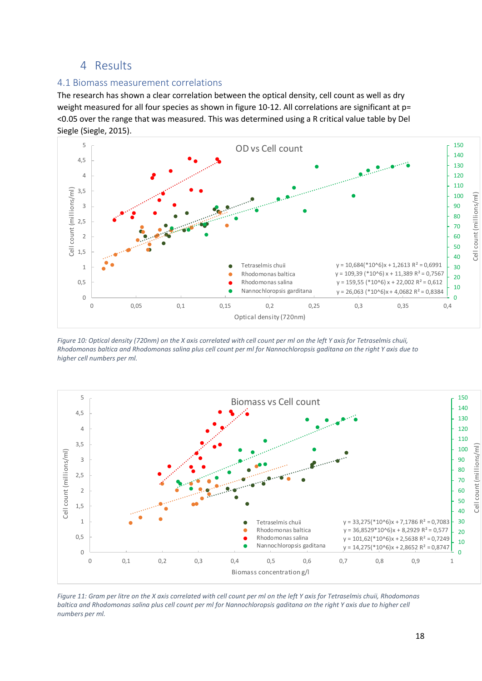## 4 Results

#### <span id="page-17-1"></span><span id="page-17-0"></span>4.1 Biomass measurement correlations

The research has shown a clear correlation between the optical density, cell count as well as dry weight measured for all four species as shown in figure 10-12. All correlations are significant at p= <0.05 over the range that was measured. This was determined using a R critical value table by Del Siegle (Siegle, 2015).



*Figure 10: Optical density (720nm) on the X axis correlated with cell count per ml on the left Y axis for Tetraselmis chuii, Rhodomonas baltica and Rhodomonas salina plus cell count per ml for Nannochloropsis gaditana on the right Y axis due to higher cell numbers per ml.*



*Figure 11: Gram per litre on the X axis correlated with cell count per ml on the left Y axis for Tetraselmis chuii, Rhodomonas baltica and Rhodomonas salina plus cell count per ml for Nannochloropsis gaditana on the right Y axis due to higher cell numbers per ml.*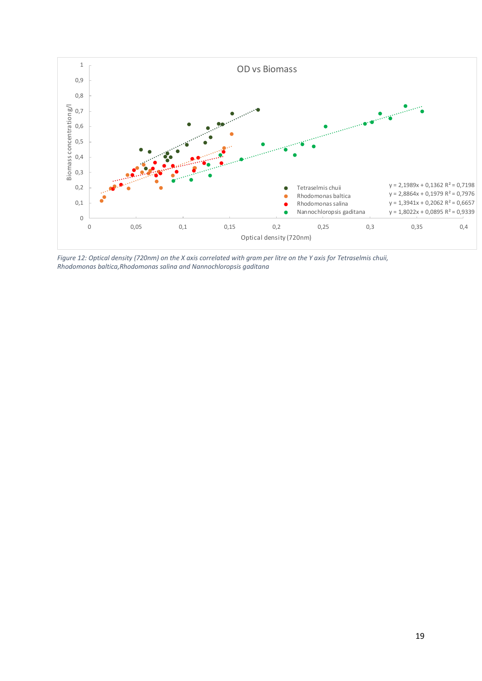

*Figure 12: Optical density (720nm) on the X axis correlated with gram per litre on the Y axis for Tetraselmis chuii, Rhodomonas baltica,Rhodomonas salina and Nannochloropsis gaditana*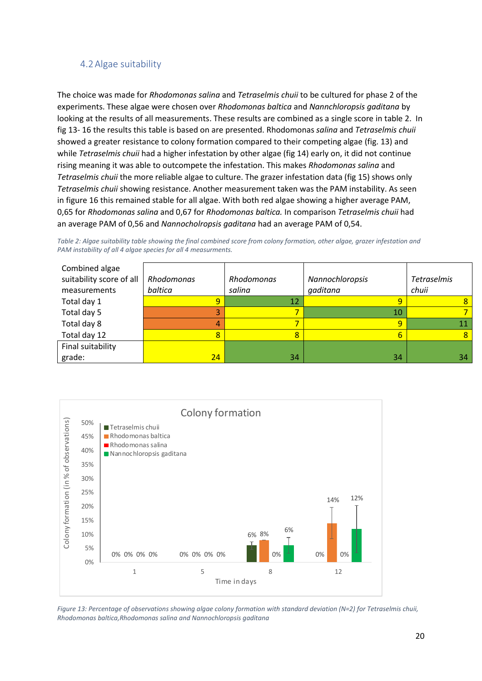## <span id="page-19-0"></span>4.2Algae suitability

The choice was made for *Rhodomonas salina* and *Tetraselmis chuii* to be cultured for phase 2 of the experiments. These algae were chosen over *Rhodomonas baltica* and *Nannchloropsis gaditana* by looking at the results of all measurements. These results are combined as a single score in table 2. In fig 13- 16 the results this table is based on are presented. Rhodomonas *salina* and *Tetraselmis chuii* showed a greater resistance to colony formation compared to their competing algae (fig. 13) and while *Tetraselmis chuii* had a higher infestation by other algae (fig 14) early on, it did not continue rising meaning it was able to outcompete the infestation. This makes *Rhodomonas salina* and *Tetraselmis chuii* the more reliable algae to culture. The grazer infestation data (fig 15) shows only *Tetraselmis chuii* showing resistance. Another measurement taken was the PAM instability. As seen in figure 16 this remained stable for all algae. With both red algae showing a higher average PAM, 0,65 for *Rhodomonas salina* and 0,67 for *Rhodomonas baltica.* In comparison *Tetraselmis chuii* had an average PAM of 0,56 and *Nannocholropsis gaditana* had an average PAM of 0,54.

*Table 2: Algae suitability table showing the final combined score from colony formation, other algae, grazer infestation and PAM instability of all 4 algae species for all 4 measurments.*

| Combined algae<br>suitability score of all<br>measurements | <b>Rhodomonas</b><br>baltica | Rhodomonas<br>salina | Nannochloropsis<br>gaditana | <b>Tetraselmis</b><br>chuii |
|------------------------------------------------------------|------------------------------|----------------------|-----------------------------|-----------------------------|
| Total day 1                                                | 9                            | 12                   | 9                           |                             |
| Total day 5                                                | 3                            |                      | 10                          |                             |
| Total day 8                                                | 4                            |                      | 9                           | 11                          |
| Total day 12                                               | 8                            | 8                    | 6                           | 8                           |
| Final suitability                                          |                              |                      |                             |                             |
| grade:                                                     | 24                           | 34                   | 34                          | 34 <sup>1</sup>             |



*Figure 13: Percentage of observations showing algae colony formation with standard deviation (N=2) for Tetraselmis chuii, Rhodomonas baltica,Rhodomonas salina and Nannochloropsis gaditana*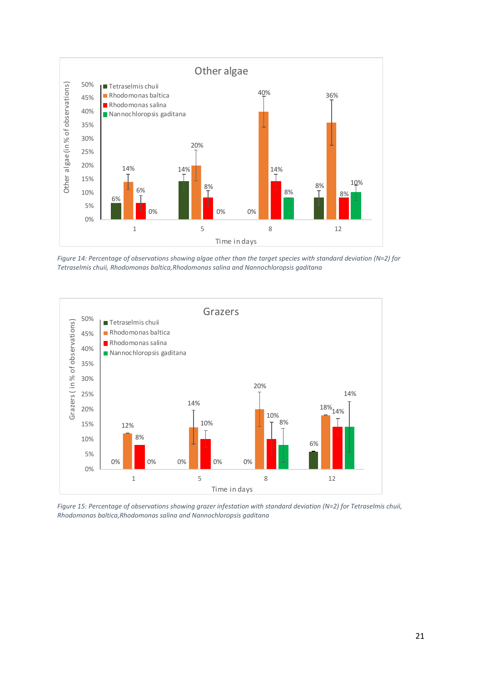

*Figure 14: Percentage of observations showing algae other than the target species with standard deviation (N=2) for Tetraselmis chuii, Rhodomonas baltica,Rhodomonas salina and Nannochloropsis gaditana*



*Figure 15: Percentage of observations showing grazer infestation with standard deviation (N=2) for Tetraselmis chuii, Rhodomonas baltica,Rhodomonas salina and Nannochloropsis gaditana*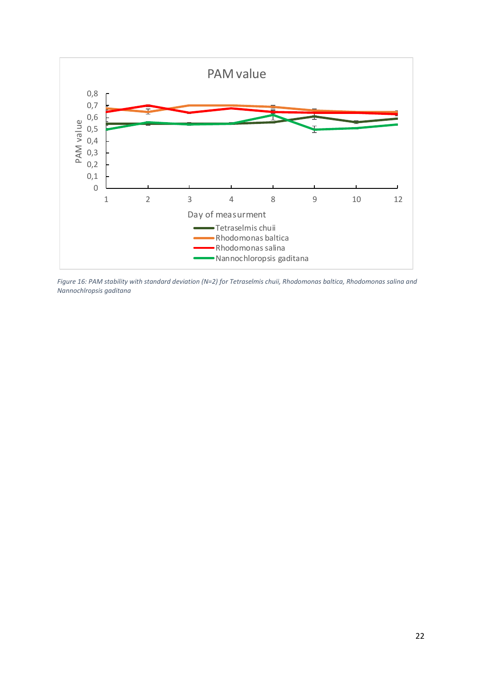

*Figure 16: PAM stability with standard deviation (N=2) for Tetraselmis chuii, Rhodomonas baltica, Rhodomonas salina and Nannochlropsis gaditana*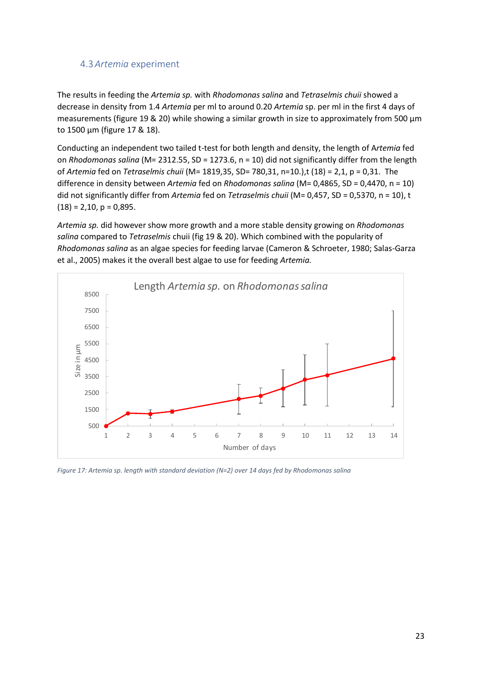## <span id="page-22-0"></span>4.3*Artemia* experiment

The results in feeding the *Artemia sp.* with *Rhodomonas salina* and *Tetraselmis chuii* showed a decrease in density from 1.4 *Artemia* per ml to around 0.20 *Artemia* sp. per ml in the first 4 days of measurements (figure 19 & 20) while showing a similar growth in size to approximately from 500 μm to 1500 μm (figure 17 & 18).

Conducting an independent two tailed t-test for both length and density, the length of A*rtemia* fed on *Rhodomonas salina* (M= 2312.55, SD = 1273.6, n = 10) did not significantly differ from the length of *Artemia* fed on *Tetraselmis chuii* (M= 1819,35, SD= 780,31, n=10.),t (18) = 2,1, p = 0,31. The difference in density between *Artemia* fed on *Rhodomonas salina* (M= 0,4865, SD = 0,4470, n = 10) did not significantly differ from *Artemia* fed on *Tetraselmis chuii* (M= 0,457, SD = 0,5370, n = 10), t  $(18) = 2,10, p = 0,895.$ 

*Artemia sp.* did however show more growth and a more stable density growing on *Rhodomonas salina* compared to *Tetraselmis* chuii (fig 19 & 20). Which combined with the popularity of *Rhodomonas salina* as an algae species for feeding larvae (Cameron & Schroeter, 1980; Salas-Garza et al., 2005) makes it the overall best algae to use for feeding *Artemia.*



*Figure 17: Artemia sp. length with standard deviation (N=2) over 14 days fed by Rhodomonas salina*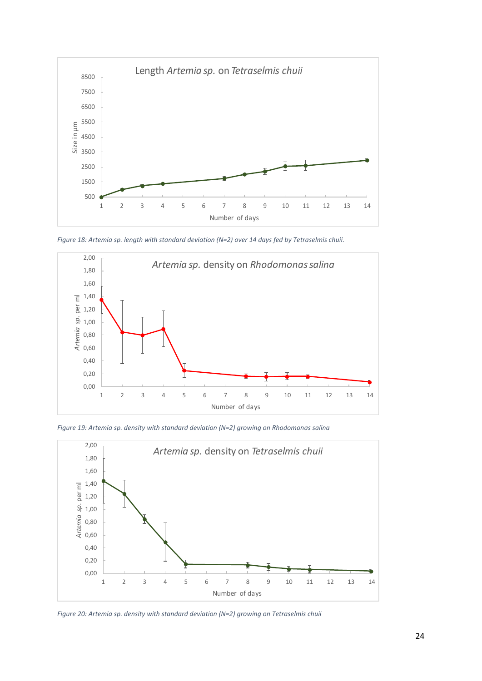

*Figure 18: Artemia sp. length with standard deviation (N=2) over 14 days fed by Tetraselmis chuii.*



*Figure 19: Artemia sp. density with standard deviation (N=2) growing on Rhodomonas salina*



*Figure 20: Artemia sp. density with standard deviation (N=2) growing on Tetraselmis chuii*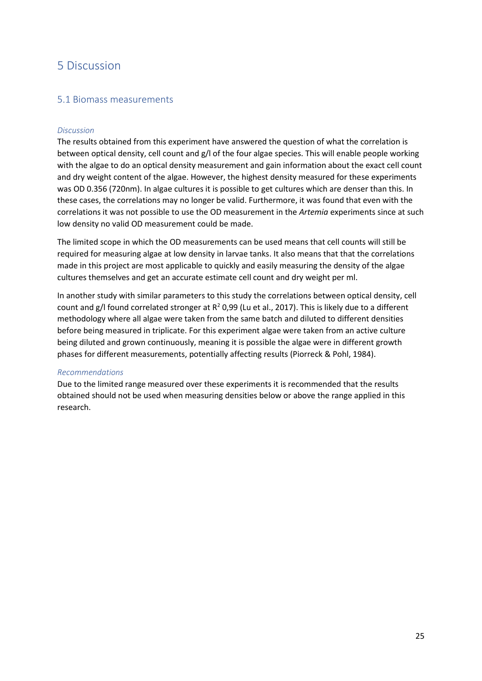## <span id="page-24-0"></span>5 Discussion

### <span id="page-24-1"></span>5.1 Biomass measurements

#### *Discussion*

The results obtained from this experiment have answered the question of what the correlation is between optical density, cell count and g/l of the four algae species. This will enable people working with the algae to do an optical density measurement and gain information about the exact cell count and dry weight content of the algae. However, the highest density measured for these experiments was OD 0.356 (720nm). In algae cultures it is possible to get cultures which are denser than this. In these cases, the correlations may no longer be valid. Furthermore, it was found that even with the correlations it was not possible to use the OD measurement in the *Artemia* experiments since at such low density no valid OD measurement could be made.

The limited scope in which the OD measurements can be used means that cell counts will still be required for measuring algae at low density in larvae tanks. It also means that that the correlations made in this project are most applicable to quickly and easily measuring the density of the algae cultures themselves and get an accurate estimate cell count and dry weight per ml.

In another study with similar parameters to this study the correlations between optical density, cell count and g/l found correlated stronger at  $R^2$  0,99 (Lu et al., 2017). This is likely due to a different methodology where all algae were taken from the same batch and diluted to different densities before being measured in triplicate. For this experiment algae were taken from an active culture being diluted and grown continuously, meaning it is possible the algae were in different growth phases for different measurements, potentially affecting results (Piorreck & Pohl, 1984).

#### *Recommendations*

Due to the limited range measured over these experiments it is recommended that the results obtained should not be used when measuring densities below or above the range applied in this research.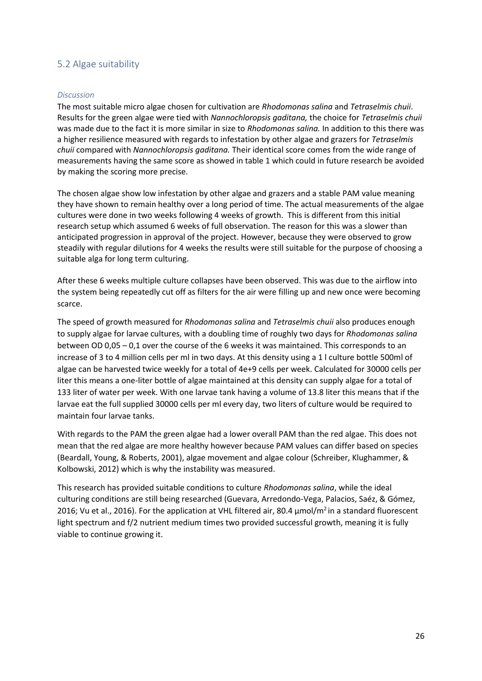## <span id="page-25-0"></span>5.2 Algae suitability

#### *Discussion*

The most suitable micro algae chosen for cultivation are *Rhodomonas salina* and *Tetraselmis chuii*. Results for the green algae were tied with *Nannochloropsis gaditana,* the choice for *Tetraselmis chuii* was made due to the fact it is more similar in size to *Rhodomonas salina.* In addition to this there was a higher resilience measured with regards to infestation by other algae and grazers for *Tetraselmis chuii* compared with *Nannochloropsis gaditana.* Their identical score comes from the wide range of measurements having the same score as showed in table 1 which could in future research be avoided by making the scoring more precise.

The chosen algae show low infestation by other algae and grazers and a stable PAM value meaning they have shown to remain healthy over a long period of time. The actual measurements of the algae cultures were done in two weeks following 4 weeks of growth. This is different from this initial research setup which assumed 6 weeks of full observation. The reason for this was a slower than anticipated progression in approval of the project. However, because they were observed to grow steadily with regular dilutions for 4 weeks the results were still suitable for the purpose of choosing a suitable alga for long term culturing.

After these 6 weeks multiple culture collapses have been observed. This was due to the airflow into the system being repeatedly cut off as filters for the air were filling up and new once were becoming scarce.

The speed of growth measured for *Rhodomonas salina* and *Tetraselmis chuii* also produces enough to supply algae for larvae cultures, with a doubling time of roughly two days for *Rhodomonas salina* between OD 0,05 – 0,1 over the course of the 6 weeks it was maintained. This corresponds to an increase of 3 to 4 million cells per ml in two days. At this density using a 1 l culture bottle 500ml of algae can be harvested twice weekly for a total of 4e+9 cells per week. Calculated for 30000 cells per liter this means a one-liter bottle of algae maintained at this density can supply algae for a total of 133 liter of water per week. With one larvae tank having a volume of 13.8 liter this means that if the larvae eat the full supplied 30000 cells per ml every day, two liters of culture would be required to maintain four larvae tanks.

With regards to the PAM the green algae had a lower overall PAM than the red algae. This does not mean that the red algae are more healthy however because PAM values can differ based on species (Beardall, Young, & Roberts, 2001), algae movement and algae colour (Schreiber, Klughammer, & Kolbowski, 2012) which is why the instability was measured.

This research has provided suitable conditions to culture *Rhodomonas salina*, while the ideal culturing conditions are still being researched (Guevara, Arredondo-Vega, Palacios, Saéz, & Gómez, 2016; Vu et al., 2016). For the application at VHL filtered air, 80.4  $\mu$ mol/m<sup>2</sup> in a standard fluorescent light spectrum and f/2 nutrient medium times two provided successful growth, meaning it is fully viable to continue growing it.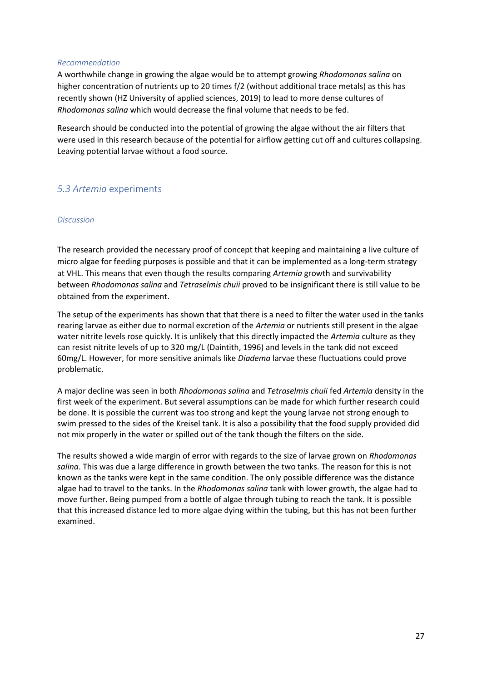#### *Recommendation*

A worthwhile change in growing the algae would be to attempt growing *Rhodomonas salina* on higher concentration of nutrients up to 20 times f/2 (without additional trace metals) as this has recently shown (HZ University of applied sciences, 2019) to lead to more dense cultures of *Rhodomonas salina* which would decrease the final volume that needs to be fed.

Research should be conducted into the potential of growing the algae without the air filters that were used in this research because of the potential for airflow getting cut off and cultures collapsing. Leaving potential larvae without a food source.

## <span id="page-26-0"></span>*5.3 Artemia* experiments

#### *Discussion*

The research provided the necessary proof of concept that keeping and maintaining a live culture of micro algae for feeding purposes is possible and that it can be implemented as a long-term strategy at VHL. This means that even though the results comparing *Artemia* growth and survivability between *Rhodomonas salina* and *Tetraselmis chuii* proved to be insignificant there is still value to be obtained from the experiment.

The setup of the experiments has shown that that there is a need to filter the water used in the tanks rearing larvae as either due to normal excretion of the *Artemia* or nutrients still present in the algae water nitrite levels rose quickly. It is unlikely that this directly impacted the *Artemia* culture as they can resist nitrite levels of up to 320 mg/L (Daintith, 1996) and levels in the tank did not exceed 60mg/L. However, for more sensitive animals like *Diadema* larvae these fluctuations could prove problematic.

A major decline was seen in both *Rhodomonas salina* and *Tetraselmis chuii* fed *Artemia* density in the first week of the experiment. But several assumptions can be made for which further research could be done. It is possible the current was too strong and kept the young larvae not strong enough to swim pressed to the sides of the Kreisel tank. It is also a possibility that the food supply provided did not mix properly in the water or spilled out of the tank though the filters on the side.

The results showed a wide margin of error with regards to the size of larvae grown on *Rhodomonas salina*. This was due a large difference in growth between the two tanks. The reason for this is not known as the tanks were kept in the same condition. The only possible difference was the distance algae had to travel to the tanks. In the *Rhodomonas salina* tank with lower growth, the algae had to move further. Being pumped from a bottle of algae through tubing to reach the tank. It is possible that this increased distance led to more algae dying within the tubing, but this has not been further examined.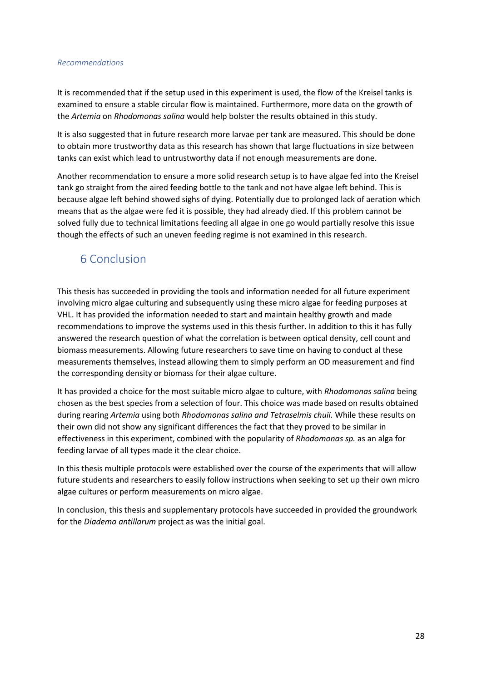#### *Recommendations*

It is recommended that if the setup used in this experiment is used, the flow of the Kreisel tanks is examined to ensure a stable circular flow is maintained. Furthermore, more data on the growth of the *Artemia* on *Rhodomonas salina* would help bolster the results obtained in this study.

It is also suggested that in future research more larvae per tank are measured. This should be done to obtain more trustworthy data as this research has shown that large fluctuations in size between tanks can exist which lead to untrustworthy data if not enough measurements are done.

Another recommendation to ensure a more solid research setup is to have algae fed into the Kreisel tank go straight from the aired feeding bottle to the tank and not have algae left behind. This is because algae left behind showed sighs of dying. Potentially due to prolonged lack of aeration which means that as the algae were fed it is possible, they had already died. If this problem cannot be solved fully due to technical limitations feeding all algae in one go would partially resolve this issue though the effects of such an uneven feeding regime is not examined in this research.

# <span id="page-27-0"></span>6 Conclusion

This thesis has succeeded in providing the tools and information needed for all future experiment involving micro algae culturing and subsequently using these micro algae for feeding purposes at VHL. It has provided the information needed to start and maintain healthy growth and made recommendations to improve the systems used in this thesis further. In addition to this it has fully answered the research question of what the correlation is between optical density, cell count and biomass measurements. Allowing future researchers to save time on having to conduct al these measurements themselves, instead allowing them to simply perform an OD measurement and find the corresponding density or biomass for their algae culture.

It has provided a choice for the most suitable micro algae to culture, with *Rhodomonas salina* being chosen as the best species from a selection of four. This choice was made based on results obtained during rearing *Artemia* using both *Rhodomonas salina and Tetraselmis chuii.* While these results on their own did not show any significant differences the fact that they proved to be similar in effectiveness in this experiment, combined with the popularity of *Rhodomonas sp.* as an alga for feeding larvae of all types made it the clear choice.

In this thesis multiple protocols were established over the course of the experiments that will allow future students and researchers to easily follow instructions when seeking to set up their own micro algae cultures or perform measurements on micro algae.

In conclusion, this thesis and supplementary protocols have succeeded in provided the groundwork for the *Diadema antillarum* project as was the initial goal.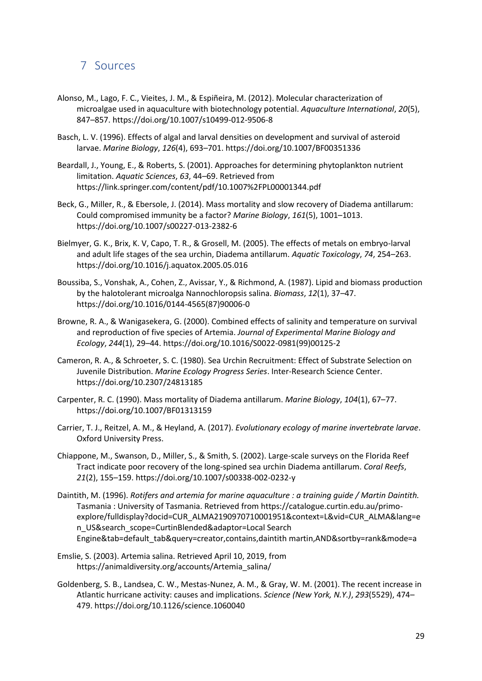## <span id="page-28-0"></span>7 Sources

- Alonso, M., Lago, F. C., Vieites, J. M., & Espiñeira, M. (2012). Molecular characterization of microalgae used in aquaculture with biotechnology potential. *Aquaculture International*, *20*(5), 847–857. https://doi.org/10.1007/s10499-012-9506-8
- Basch, L. V. (1996). Effects of algal and larval densities on development and survival of asteroid larvae. *Marine Biology*, *126*(4), 693–701. https://doi.org/10.1007/BF00351336
- Beardall, J., Young, E., & Roberts, S. (2001). Approaches for determining phytoplankton nutrient limitation. *Aquatic Sciences*, *63*, 44–69. Retrieved from https://link.springer.com/content/pdf/10.1007%2FPL00001344.pdf
- Beck, G., Miller, R., & Ebersole, J. (2014). Mass mortality and slow recovery of Diadema antillarum: Could compromised immunity be a factor? *Marine Biology*, *161*(5), 1001–1013. https://doi.org/10.1007/s00227-013-2382-6
- Bielmyer, G. K., Brix, K. V, Capo, T. R., & Grosell, M. (2005). The effects of metals on embryo-larval and adult life stages of the sea urchin, Diadema antillarum. *Aquatic Toxicology*, *74*, 254–263. https://doi.org/10.1016/j.aquatox.2005.05.016
- Boussiba, S., Vonshak, A., Cohen, Z., Avissar, Y., & Richmond, A. (1987). Lipid and biomass production by the halotolerant microalga Nannochloropsis salina. *Biomass*, *12*(1), 37–47. https://doi.org/10.1016/0144-4565(87)90006-0
- Browne, R. A., & Wanigasekera, G. (2000). Combined effects of salinity and temperature on survival and reproduction of five species of Artemia. *Journal of Experimental Marine Biology and Ecology*, *244*(1), 29–44. https://doi.org/10.1016/S0022-0981(99)00125-2
- Cameron, R. A., & Schroeter, S. C. (1980). Sea Urchin Recruitment: Effect of Substrate Selection on Juvenile Distribution. *Marine Ecology Progress Series*. Inter-Research Science Center. https://doi.org/10.2307/24813185
- Carpenter, R. C. (1990). Mass mortality of Diadema antillarum. *Marine Biology*, *104*(1), 67–77. https://doi.org/10.1007/BF01313159
- Carrier, T. J., Reitzel, A. M., & Heyland, A. (2017). *Evolutionary ecology of marine invertebrate larvae*. Oxford University Press.
- Chiappone, M., Swanson, D., Miller, S., & Smith, S. (2002). Large-scale surveys on the Florida Reef Tract indicate poor recovery of the long-spined sea urchin Diadema antillarum. *Coral Reefs*, *21*(2), 155–159. https://doi.org/10.1007/s00338-002-0232-y
- Daintith, M. (1996). *Rotifers and artemia for marine aquaculture : a training guide / Martin Daintith.* Tasmania : University of Tasmania. Retrieved from https://catalogue.curtin.edu.au/primoexplore/fulldisplay?docid=CUR\_ALMA2190970710001951&context=L&vid=CUR\_ALMA&lang=e n\_US&search\_scope=CurtinBlended&adaptor=Local Search Engine&tab=default\_tab&query=creator,contains,daintith martin,AND&sortby=rank&mode=a
- Emslie, S. (2003). Artemia salina. Retrieved April 10, 2019, from https://animaldiversity.org/accounts/Artemia\_salina/
- Goldenberg, S. B., Landsea, C. W., Mestas-Nunez, A. M., & Gray, W. M. (2001). The recent increase in Atlantic hurricane activity: causes and implications. *Science (New York, N.Y.)*, *293*(5529), 474– 479. https://doi.org/10.1126/science.1060040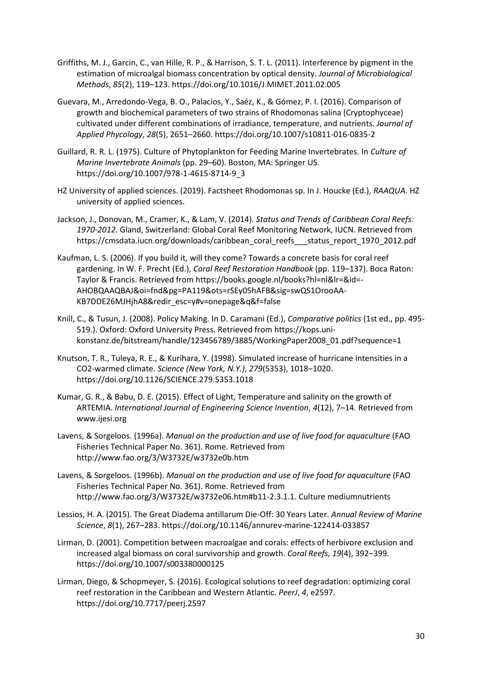- Griffiths, M. J., Garcin, C., van Hille, R. P., & Harrison, S. T. L. (2011). Interference by pigment in the estimation of microalgal biomass concentration by optical density. *Journal of Microbiological Methods*, *85*(2), 119–123. https://doi.org/10.1016/J.MIMET.2011.02.005
- Guevara, M., Arredondo-Vega, B. O., Palacios, Y., Saéz, K., & Gómez, P. I. (2016). Comparison of growth and biochemical parameters of two strains of Rhodomonas salina (Cryptophyceae) cultivated under different combinations of irradiance, temperature, and nutrients. *Journal of Applied Phycology*, *28*(5), 2651–2660. https://doi.org/10.1007/s10811-016-0835-2
- Guillard, R. R. L. (1975). Culture of Phytoplankton for Feeding Marine Invertebrates. In *Culture of Marine Invertebrate Animals* (pp. 29–60). Boston, MA: Springer US. https://doi.org/10.1007/978-1-4615-8714-9\_3
- HZ University of applied sciences. (2019). Factsheet Rhodomonas sp. In J. Houcke (Ed.), *RAAQUA*. HZ university of applied sciences.
- Jackson, J., Donovan, M., Cramer, K., & Lam, V. (2014). *Status and Trends of Caribbean Coral Reefs: 1970-2012*. Gland, Switzerland: Global Coral Reef Monitoring Network, IUCN. Retrieved from https://cmsdata.iucn.org/downloads/caribbean\_coral\_reefs\_\_\_status\_report\_1970\_2012.pdf
- Kaufman, L. S. (2006). If you build it, will they come? Towards a concrete basis for coral reef gardening. In W. F. Precht (Ed.), *Coral Reef Restoration Handbook* (pp. 119–137). Boca Raton: Taylor & Francis. Retrieved from https://books.google.nl/books?hl=nl&lr=&id=- AHOBQAAQBAJ&oi=fnd&pg=PA119&ots=rSEy05hAFB&sig=swQS1OrooAA-KB7DDE26MJHjhA8&redir\_esc=y#v=onepage&q&f=false
- Knill, C., & Tusun, J. (2008). Policy Making. In D. Caramani (Ed.), *Comparative politics* (1st ed., pp. 495- 519.). Oxford: Oxford University Press. Retrieved from https://kops.unikonstanz.de/bitstream/handle/123456789/3885/WorkingPaper2008\_01.pdf?sequence=1
- Knutson, T. R., Tuleya, R. E., & Kurihara, Y. (1998). Simulated increase of hurricane intensities in a CO2-warmed climate. *Science (New York, N.Y.)*, *279*(5353), 1018–1020. https://doi.org/10.1126/SCIENCE.279.5353.1018
- Kumar, G. R., & Babu, D. E. (2015). Effect of Light, Temperature and salinity on the growth of ARTEMIA. *International Journal of Engineering Science Invention*, *4*(12), 7–14. Retrieved from www.ijesi.org
- Lavens, & Sorgeloos. (1996a). *Manual on the production and use of live food for aquaculture* (FAO Fisheries Technical Paper No. 361). Rome. Retrieved from http://www.fao.org/3/W3732E/w3732e0b.htm
- Lavens, & Sorgeloos. (1996b). *Manual on the production and use of live food for aquaculture* (FAO Fisheries Technical Paper No. 361). Rome. Retrieved from http://www.fao.org/3/W3732E/w3732e06.htm#b11-2.3.1.1. Culture mediumnutrients
- Lessios, H. A. (2015). The Great Diadema antillarum Die-Off: 30 Years Later. *Annual Review of Marine Science*, *8*(1), 267–283. https://doi.org/10.1146/annurev-marine-122414-033857
- Lirman, D. (2001). Competition between macroalgae and corals: effects of herbivore exclusion and increased algal biomass on coral survivorship and growth. *Coral Reefs*, *19*(4), 392–399. https://doi.org/10.1007/s003380000125
- Lirman, Diego, & Schopmeyer, S. (2016). Ecological solutions to reef degradation: optimizing coral reef restoration in the Caribbean and Western Atlantic. *PeerJ*, *4*, e2597. https://doi.org/10.7717/peerj.2597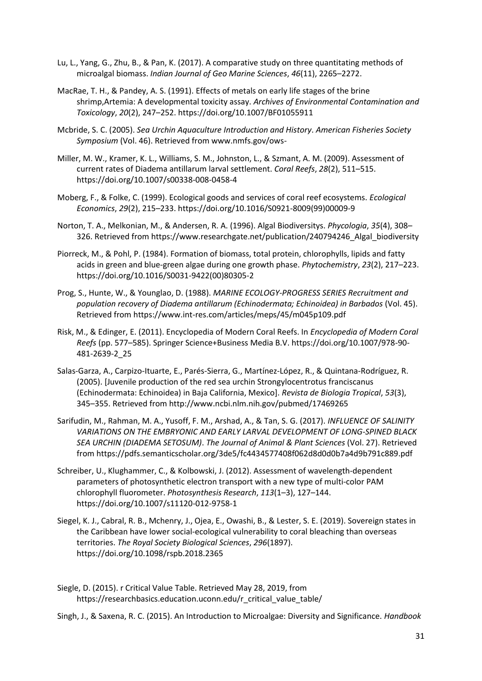- Lu, L., Yang, G., Zhu, B., & Pan, K. (2017). A comparative study on three quantitating methods of microalgal biomass. *Indian Journal of Geo Marine Sciences*, *46*(11), 2265–2272.
- MacRae, T. H., & Pandey, A. S. (1991). Effects of metals on early life stages of the brine shrimp,Artemia: A developmental toxicity assay. *Archives of Environmental Contamination and Toxicology*, *20*(2), 247–252. https://doi.org/10.1007/BF01055911
- Mcbride, S. C. (2005). *Sea Urchin Aquaculture Introduction and History*. *American Fisheries Society Symposium* (Vol. 46). Retrieved from www.nmfs.gov/ows-
- Miller, M. W., Kramer, K. L., Williams, S. M., Johnston, L., & Szmant, A. M. (2009). Assessment of current rates of Diadema antillarum larval settlement. *Coral Reefs*, *28*(2), 511–515. https://doi.org/10.1007/s00338-008-0458-4
- Moberg, F., & Folke, C. (1999). Ecological goods and services of coral reef ecosystems. *Ecological Economics*, *29*(2), 215–233. https://doi.org/10.1016/S0921-8009(99)00009-9
- Norton, T. A., Melkonian, M., & Andersen, R. A. (1996). Algal Biodiversitys. *Phycologia*, *35*(4), 308– 326. Retrieved from https://www.researchgate.net/publication/240794246\_Algal\_biodiversity
- Piorreck, M., & Pohl, P. (1984). Formation of biomass, total protein, chlorophylls, lipids and fatty acids in green and blue-green algae during one growth phase. *Phytochemistry*, *23*(2), 217–223. https://doi.org/10.1016/S0031-9422(00)80305-2
- Prog, S., Hunte, W., & Younglao, D. (1988). *MARINE ECOLOGY-PROGRESS SERIES Recruitment and population recovery of Diadema antillarum (Echinodermata; Echinoidea) in Barbados* (Vol. 45). Retrieved from https://www.int-res.com/articles/meps/45/m045p109.pdf
- Risk, M., & Edinger, E. (2011). Encyclopedia of Modern Coral Reefs. In *Encyclopedia of Modern Coral Reefs* (pp. 577–585). Springer Science+Business Media B.V. https://doi.org/10.1007/978-90- 481-2639-2\_25
- Salas-Garza, A., Carpizo-Ituarte, E., Parés-Sierra, G., Martínez-López, R., & Quintana-Rodríguez, R. (2005). [Juvenile production of the red sea urchin Strongylocentrotus franciscanus (Echinodermata: Echinoidea) in Baja California, Mexico]. *Revista de Biologia Tropical*, *53*(3), 345–355. Retrieved from http://www.ncbi.nlm.nih.gov/pubmed/17469265
- Sarifudin, M., Rahman, M. A., Yusoff, F. M., Arshad, A., & Tan, S. G. (2017). *INFLUENCE OF SALINITY VARIATIONS ON THE EMBRYONIC AND EARLY LARVAL DEVELOPMENT OF LONG-SPINED BLACK SEA URCHIN (DIADEMA SETOSUM)*. *The Journal of Animal & Plant Sciences* (Vol. 27). Retrieved from https://pdfs.semanticscholar.org/3de5/fc4434577408f062d8d0d0b7a4d9b791c889.pdf
- Schreiber, U., Klughammer, C., & Kolbowski, J. (2012). Assessment of wavelength-dependent parameters of photosynthetic electron transport with a new type of multi-color PAM chlorophyll fluorometer. *Photosynthesis Research*, *113*(1–3), 127–144. https://doi.org/10.1007/s11120-012-9758-1
- Siegel, K. J., Cabral, R. B., Mchenry, J., Ojea, E., Owashi, B., & Lester, S. E. (2019). Sovereign states in the Caribbean have lower social-ecological vulnerability to coral bleaching than overseas territories. *The Royal Society Biological Sciences*, *296*(1897). https://doi.org/10.1098/rspb.2018.2365
- Siegle, D. (2015). r Critical Value Table. Retrieved May 28, 2019, from https://researchbasics.education.uconn.edu/r\_critical\_value\_table/

Singh, J., & Saxena, R. C. (2015). An Introduction to Microalgae: Diversity and Significance. *Handbook*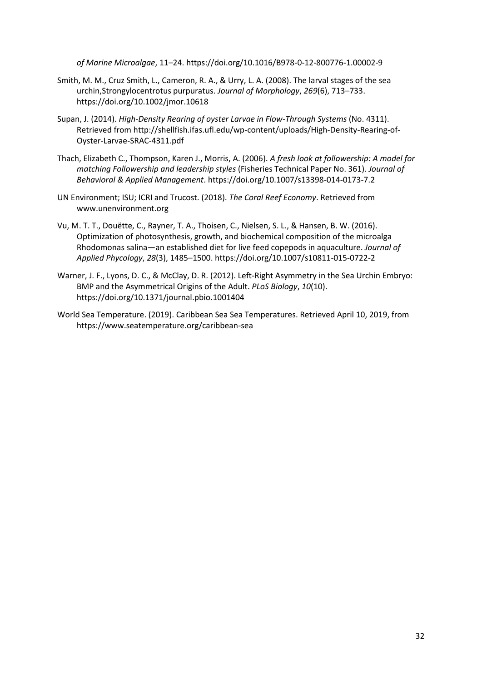*of Marine Microalgae*, 11–24. https://doi.org/10.1016/B978-0-12-800776-1.00002-9

- Smith, M. M., Cruz Smith, L., Cameron, R. A., & Urry, L. A. (2008). The larval stages of the sea urchin,Strongylocentrotus purpuratus. *Journal of Morphology*, *269*(6), 713–733. https://doi.org/10.1002/jmor.10618
- Supan, J. (2014). *High-Density Rearing of oyster Larvae in Flow-Through Systems* (No. 4311). Retrieved from http://shellfish.ifas.ufl.edu/wp-content/uploads/High-Density-Rearing-of-Oyster-Larvae-SRAC-4311.pdf
- Thach, Elizabeth C., Thompson, Karen J., Morris, A. (2006). *A fresh look at followership: A model for matching Followership and leadership styles* (Fisheries Technical Paper No. 361). *Journal of Behavioral & Applied Management*. https://doi.org/10.1007/s13398-014-0173-7.2
- UN Environment; ISU; ICRI and Trucost. (2018). *The Coral Reef Economy*. Retrieved from www.unenvironment.org
- Vu, M. T. T., Douëtte, C., Rayner, T. A., Thoisen, C., Nielsen, S. L., & Hansen, B. W. (2016). Optimization of photosynthesis, growth, and biochemical composition of the microalga Rhodomonas salina—an established diet for live feed copepods in aquaculture. *Journal of Applied Phycology*, *28*(3), 1485–1500. https://doi.org/10.1007/s10811-015-0722-2
- Warner, J. F., Lyons, D. C., & McClay, D. R. (2012). Left-Right Asymmetry in the Sea Urchin Embryo: BMP and the Asymmetrical Origins of the Adult. *PLoS Biology*, *10*(10). https://doi.org/10.1371/journal.pbio.1001404
- World Sea Temperature. (2019). Caribbean Sea Sea Temperatures. Retrieved April 10, 2019, from https://www.seatemperature.org/caribbean-sea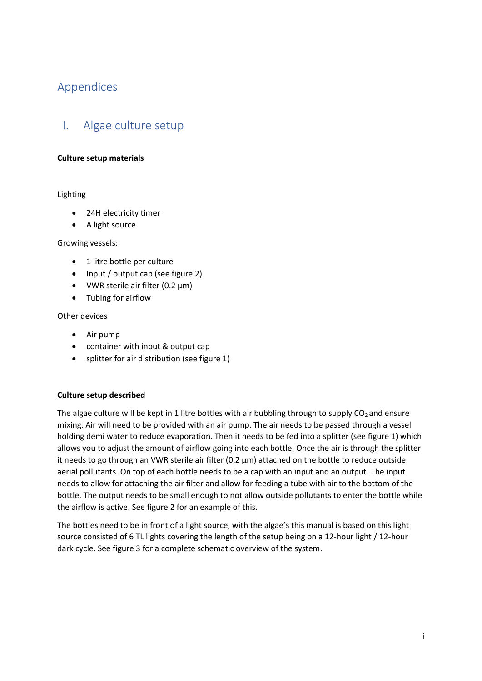# <span id="page-32-0"></span>Appendices

# <span id="page-32-1"></span>I. Algae culture setup

#### **Culture setup materials**

#### Lighting

- 24H electricity timer
- A light source

#### Growing vessels:

- 1 litre bottle per culture
- Input / output cap (see figure 2)
- VWR sterile air filter (0.2  $\mu$ m)
- Tubing for airflow

#### Other devices

- Air pump
- container with input & output cap
- splitter for air distribution (see figure 1)

#### **Culture setup described**

The algae culture will be kept in 1 litre bottles with air bubbling through to supply  $CO<sub>2</sub>$  and ensure mixing. Air will need to be provided with an air pump. The air needs to be passed through a vessel holding demi water to reduce evaporation. Then it needs to be fed into a splitter (see figure 1) which allows you to adjust the amount of airflow going into each bottle. Once the air is through the splitter it needs to go through an VWR sterile air filter  $(0.2 \mu m)$  attached on the bottle to reduce outside aerial pollutants. On top of each bottle needs to be a cap with an input and an output. The input needs to allow for attaching the air filter and allow for feeding a tube with air to the bottom of the bottle. The output needs to be small enough to not allow outside pollutants to enter the bottle while the airflow is active. See figure 2 for an example of this.

The bottles need to be in front of a light source, with the algae's this manual is based on this light source consisted of 6 TL lights covering the length of the setup being on a 12-hour light / 12-hour dark cycle. See figure 3 for a complete schematic overview of the system.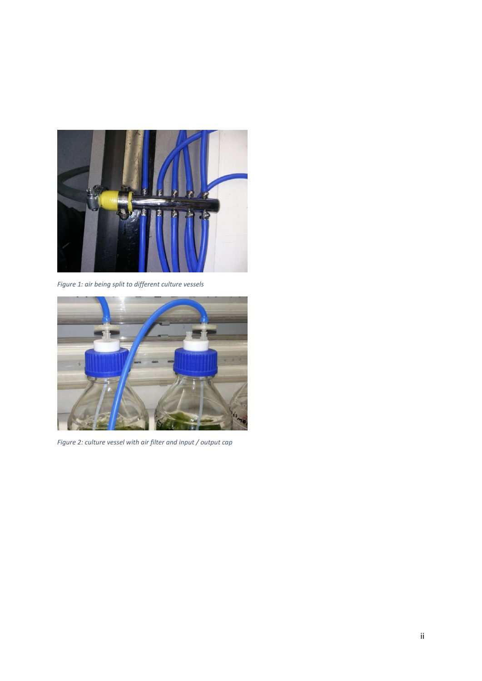

*Figure 1: air being split to different culture vessels*



*Figure 2: culture vessel with air filter and input / output cap*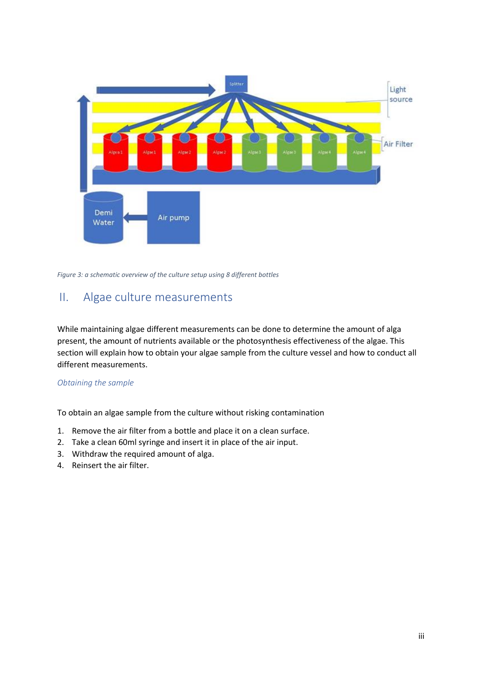

*Figure 3: a schematic overview of the culture setup using 8 different bottles*

## <span id="page-34-0"></span>II. Algae culture measurements

While maintaining algae different measurements can be done to determine the amount of alga present, the amount of nutrients available or the photosynthesis effectiveness of the algae. This section will explain how to obtain your algae sample from the culture vessel and how to conduct all different measurements.

#### *Obtaining the sample*

To obtain an algae sample from the culture without risking contamination

- 1. Remove the air filter from a bottle and place it on a clean surface.
- 2. Take a clean 60ml syringe and insert it in place of the air input.
- 3. Withdraw the required amount of alga.
- 4. Reinsert the air filter.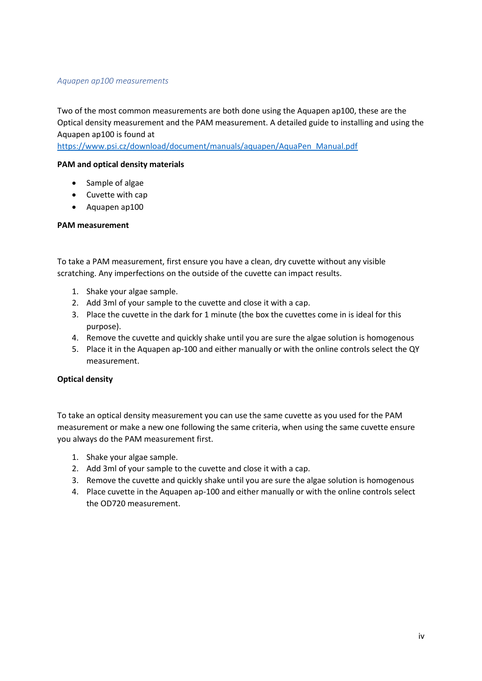#### *Aquapen ap100 measurements*

Two of the most common measurements are both done using the Aquapen ap100, these are the Optical density measurement and the PAM measurement. A detailed guide to installing and using the Aquapen ap100 is found at

[https://www.psi.cz/download/document/manuals/aquapen/AquaPen\\_Manual.pdf](https://www.psi.cz/download/document/manuals/aquapen/AquaPen_Manual.pdf)

#### **PAM and optical density materials**

- Sample of algae
- Cuvette with cap
- Aquapen ap100

#### **PAM measurement**

To take a PAM measurement, first ensure you have a clean, dry cuvette without any visible scratching. Any imperfections on the outside of the cuvette can impact results.

- 1. Shake your algae sample.
- 2. Add 3ml of your sample to the cuvette and close it with a cap.
- 3. Place the cuvette in the dark for 1 minute (the box the cuvettes come in is ideal for this purpose).
- 4. Remove the cuvette and quickly shake until you are sure the algae solution is homogenous
- 5. Place it in the Aquapen ap-100 and either manually or with the online controls select the QY measurement.

#### **Optical density**

To take an optical density measurement you can use the same cuvette as you used for the PAM measurement or make a new one following the same criteria, when using the same cuvette ensure you always do the PAM measurement first.

- 1. Shake your algae sample.
- 2. Add 3ml of your sample to the cuvette and close it with a cap.
- 3. Remove the cuvette and quickly shake until you are sure the algae solution is homogenous
- 4. Place cuvette in the Aquapen ap-100 and either manually or with the online controls select the OD720 measurement.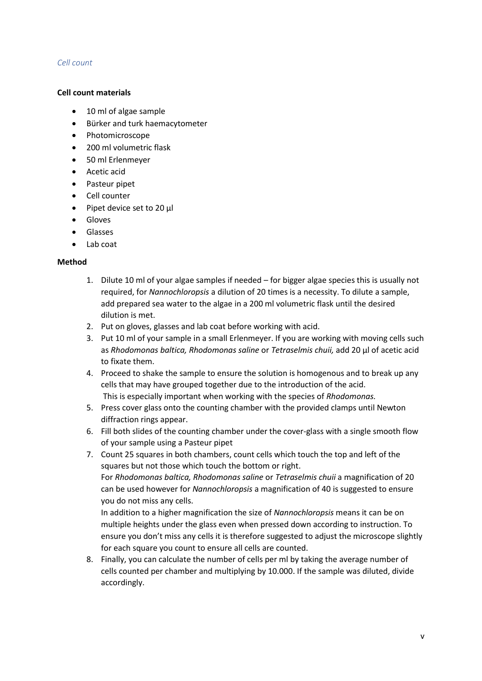#### *Cell count*

#### **Cell count materials**

- 10 ml of algae sample
- Bürker and turk haemacytometer
- Photomicroscope
- 200 ml volumetric flask
- 50 ml Erlenmeyer
- Acetic acid
- Pasteur pipet
- Cell counter
- Pipet device set to 20 µl
- Gloves
- Glasses
- Lab coat

#### **Method**

- 1. Dilute 10 ml of your algae samples if needed for bigger algae species this is usually not required, for *Nannochloropsis* a dilution of 20 times is a necessity. To dilute a sample, add prepared sea water to the algae in a 200 ml volumetric flask until the desired dilution is met.
- 2. Put on gloves, glasses and lab coat before working with acid.
- 3. Put 10 ml of your sample in a small Erlenmeyer. If you are working with moving cells such as *Rhodomonas baltica, Rhodomonas saline* or *Tetraselmis chuii,* add 20 µl of acetic acid to fixate them.
- 4. Proceed to shake the sample to ensure the solution is homogenous and to break up any cells that may have grouped together due to the introduction of the acid. This is especially important when working with the species of *Rhodomonas.*
- 5. Press cover glass onto the counting chamber with the provided clamps until Newton diffraction rings appear.
- 6. Fill both slides of the counting chamber under the cover-glass with a single smooth flow of your sample using a Pasteur pipet
- 7. Count 25 squares in both chambers, count cells which touch the top and left of the squares but not those which touch the bottom or right. For *Rhodomonas baltica, Rhodomonas saline* or *Tetraselmis chuii* a magnification of 20 can be used however for *Nannochloropsis* a magnification of 40 is suggested to ensure you do not miss any cells.

In addition to a higher magnification the size of *Nannochloropsis* means it can be on multiple heights under the glass even when pressed down according to instruction. To ensure you don't miss any cells it is therefore suggested to adjust the microscope slightly for each square you count to ensure all cells are counted.

8. Finally, you can calculate the number of cells per ml by taking the average number of cells counted per chamber and multiplying by 10.000. If the sample was diluted, divide accordingly.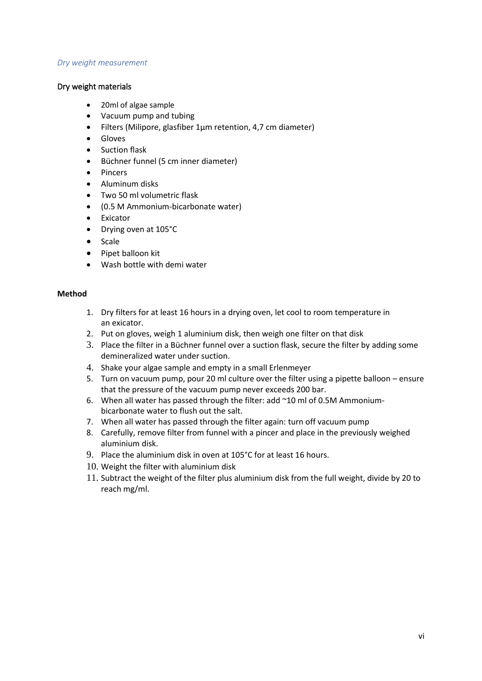#### *Dry weight measurement*

#### Dry weight materials

- 20ml of algae sample
- Vacuum pump and tubing
- Filters (Milipore, glasfiber 1µm retention, 4,7 cm diameter)
- Gloves
- Suction flask
- Büchner funnel (5 cm inner diameter)
- Pincers
- Aluminum disks
- Two 50 ml volumetric flask
- (0.5 M Ammonium-bicarbonate water)
- Exicator
- Drying oven at 105°C
- Scale
- Pipet balloon kit
- Wash bottle with demi water

#### **Method**

- 1. Dry filters for at least 16 hours in a drying oven, let cool to room temperature in an exicator.
- 2. Put on gloves, weigh 1 aluminium disk, then weigh one filter on that disk
- 3. Place the filter in a Büchner funnel over a suction flask, secure the filter by adding some demineralized water under suction.
- 4. Shake your algae sample and empty in a small Erlenmeyer
- 5. Turn on vacuum pump, pour 20 ml culture over the filter using a pipette balloon ensure that the pressure of the vacuum pump never exceeds 200 bar.
- 6. When all water has passed through the filter: add ~10 ml of 0.5M Ammoniumbicarbonate water to flush out the salt.
- 7. When all water has passed through the filter again: turn off vacuum pump
- 8. Carefully, remove filter from funnel with a pincer and place in the previously weighed aluminium disk.
- 9. Place the aluminium disk in oven at 105°C for at least 16 hours.
- 10. Weight the filter with aluminium disk
- 11. Subtract the weight of the filter plus aluminium disk from the full weight, divide by 20 to reach mg/ml.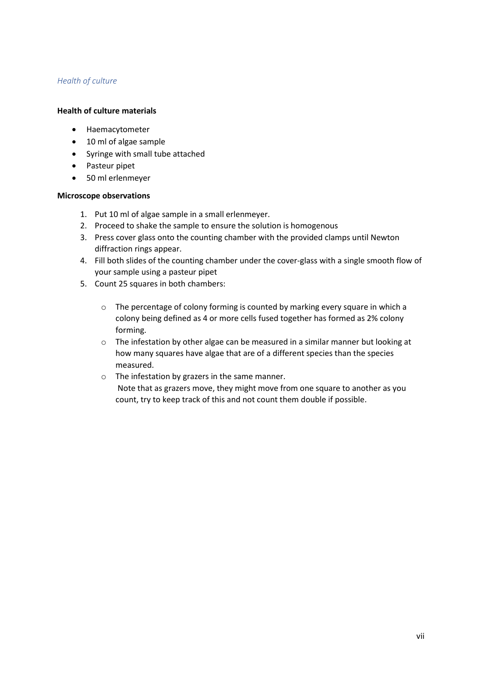### *Health of culture*

#### **Health of culture materials**

- Haemacytometer
- 10 ml of algae sample
- Syringe with small tube attached
- Pasteur pipet
- 50 ml erlenmeyer

#### **Microscope observations**

- 1. Put 10 ml of algae sample in a small erlenmeyer.
- 2. Proceed to shake the sample to ensure the solution is homogenous
- 3. Press cover glass onto the counting chamber with the provided clamps until Newton diffraction rings appear.
- 4. Fill both slides of the counting chamber under the cover-glass with a single smooth flow of your sample using a pasteur pipet
- 5. Count 25 squares in both chambers:
	- o The percentage of colony forming is counted by marking every square in which a colony being defined as 4 or more cells fused together has formed as 2% colony forming.
	- o The infestation by other algae can be measured in a similar manner but looking at how many squares have algae that are of a different species than the species measured.
	- o The infestation by grazers in the same manner. Note that as grazers move, they might move from one square to another as you count, try to keep track of this and not count them double if possible.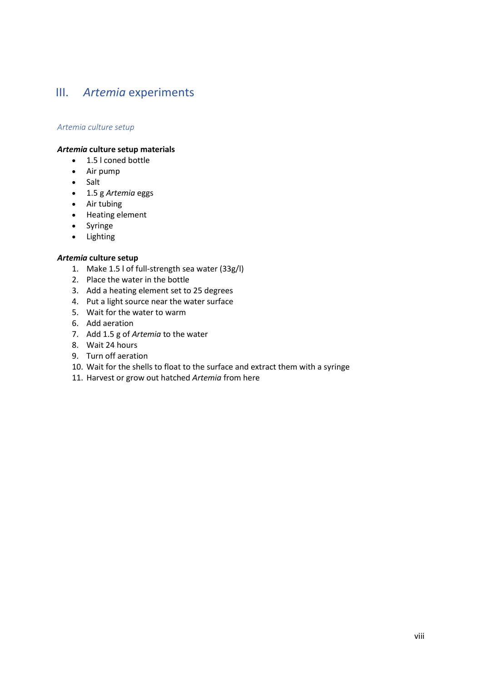# <span id="page-39-0"></span>III. *Artemia* experiments

#### *Artemia culture setup*

#### *Artemia* **culture setup materials**

- 1.5 l coned bottle
- Air pump
- Salt
- 1.5 g *Artemia* eggs
- Air tubing
- Heating element
- Syringe
- Lighting

#### *Artemia* **culture setup**

- 1. Make 1.5 l of full-strength sea water (33g/l)
- 2. Place the water in the bottle
- 3. Add a heating element set to 25 degrees
- 4. Put a light source near the water surface
- 5. Wait for the water to warm
- 6. Add aeration
- 7. Add 1.5 g of *Artemia* to the water
- 8. Wait 24 hours
- 9. Turn off aeration
- 10. Wait for the shells to float to the surface and extract them with a syringe
- 11. Harvest or grow out hatched *Artemia* from here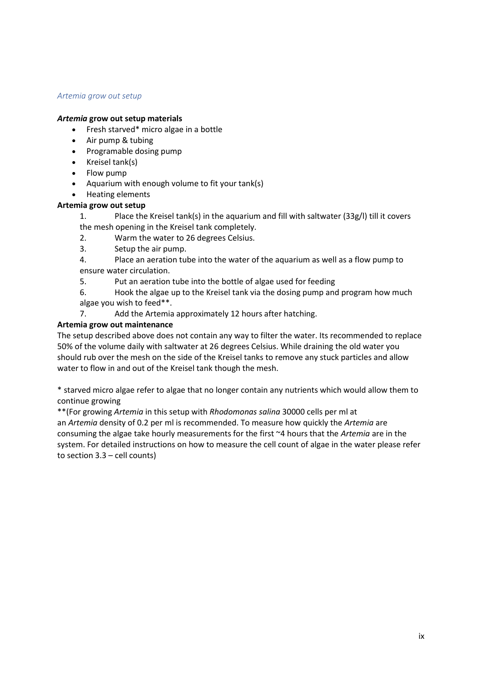#### *Artemia grow out setup*

#### *Artemia* **grow out setup materials**

- Fresh starved\* micro algae in a bottle
- Air pump & tubing
- Programable dosing pump
- Kreisel tank(s)
- Flow pump
- Aquarium with enough volume to fit your tank(s)
- Heating elements

#### **Artemia grow out setup**

1. Place the Kreisel tank(s) in the aquarium and fill with saltwater (33g/l) till it covers the mesh opening in the Kreisel tank completely.

- 2. Warm the water to 26 degrees Celsius.
- 3. Setup the air pump.
- 4. Place an aeration tube into the water of the aquarium as well as a flow pump to ensure water circulation.
- 5. Put an aeration tube into the bottle of algae used for feeding

6. Hook the algae up to the Kreisel tank via the dosing pump and program how much algae you wish to feed\*\*.

7. Add the Artemia approximately 12 hours after hatching.

#### **Artemia grow out maintenance**

The setup described above does not contain any way to filter the water. Its recommended to replace 50% of the volume daily with saltwater at 26 degrees Celsius. While draining the old water you should rub over the mesh on the side of the Kreisel tanks to remove any stuck particles and allow water to flow in and out of the Kreisel tank though the mesh.

\* starved micro algae refer to algae that no longer contain any nutrients which would allow them to continue growing

\*\*(For growing *Artemia* in this setup with *Rhodomonas salina* 30000 cells per ml at an *Artemia* density of 0.2 per ml is recommended. To measure how quickly the *Artemia* are consuming the algae take hourly measurements for the first ~4 hours that the *Artemia* are in the system. For detailed instructions on how to measure the cell count of algae in the water please refer to section 3.3 – cell counts)